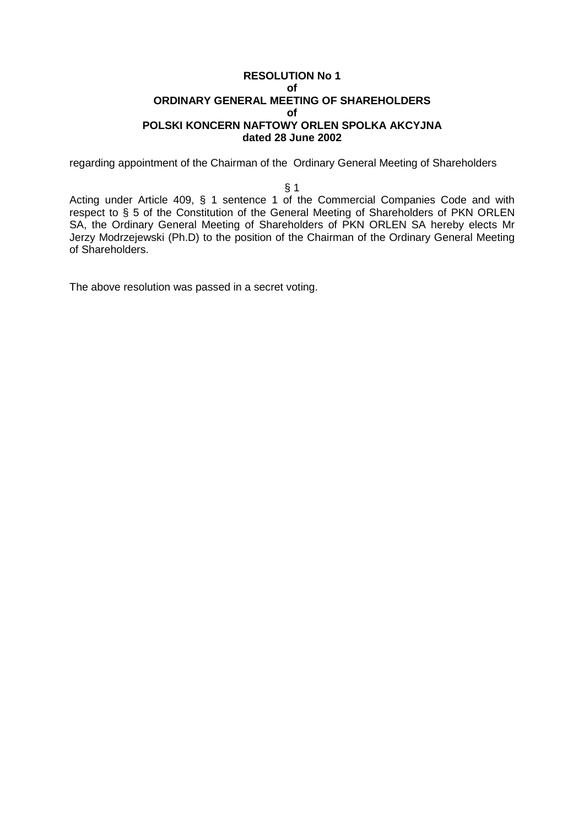### **RESOLUTION No 1 of ORDINARY GENERAL MEETING OF SHAREHOLDERS of POLSKI KONCERN NAFTOWY ORLEN SPOLKA AKCYJNA dated 28 June 2002**

regarding appointment of the Chairman of the Ordinary General Meeting of Shareholders

#### § 1

Acting under Article 409, § 1 sentence 1 of the Commercial Companies Code and with respect to § 5 of the Constitution of the General Meeting of Shareholders of PKN ORLEN SA, the Ordinary General Meeting of Shareholders of PKN ORLEN SA hereby elects Mr Jerzy Modrzejewski (Ph.D) to the position of the Chairman of the Ordinary General Meeting of Shareholders.

The above resolution was passed in a secret voting.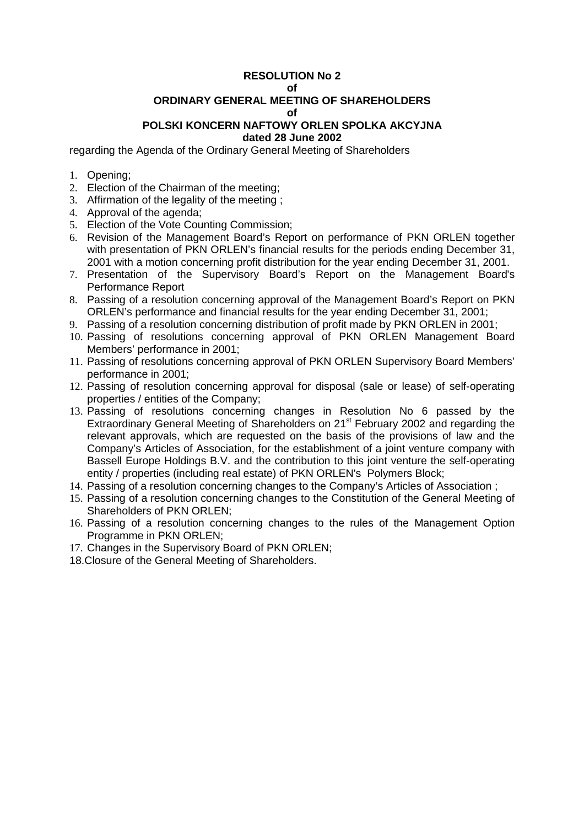#### **of**

# **ORDINARY GENERAL MEETING OF SHAREHOLDERS**

**of** 

# **POLSKI KONCERN NAFTOWY ORLEN SPOLKA AKCYJNA**

# **dated 28 June 2002**

regarding the Agenda of the Ordinary General Meeting of Shareholders

- 1. Opening;
- 2. Election of the Chairman of the meeting;
- 3. Affirmation of the legality of the meeting ;
- 4. Approval of the agenda;
- 5. Election of the Vote Counting Commission;
- 6. Revision of the Management Board's Report on performance of PKN ORLEN together with presentation of PKN ORLEN's financial results for the periods ending December 31, 2001 with a motion concerning profit distribution for the year ending December 31, 2001.
- 7. Presentation of the Supervisory Board's Report on the Management Board's Performance Report
- 8. Passing of a resolution concerning approval of the Management Board's Report on PKN ORLEN's performance and financial results for the year ending December 31, 2001;
- 9. Passing of a resolution concerning distribution of profit made by PKN ORLEN in 2001;
- 10. Passing of resolutions concerning approval of PKN ORLEN Management Board Members' performance in 2001;
- 11. Passing of resolutions concerning approval of PKN ORLEN Supervisory Board Members' performance in 2001;
- 12. Passing of resolution concerning approval for disposal (sale or lease) of self-operating properties / entities of the Company;
- 13. Passing of resolutions concerning changes in Resolution No 6 passed by the Extraordinary General Meeting of Shareholders on 21<sup>st</sup> February 2002 and regarding the relevant approvals, which are requested on the basis of the provisions of law and the Company's Articles of Association, for the establishment of a joint venture company with Bassell Europe Holdings B.V. and the contribution to this joint venture the self-operating entity / properties (including real estate) of PKN ORLEN's Polymers Block;
- 14. Passing of a resolution concerning changes to the Company's Articles of Association ;
- 15. Passing of a resolution concerning changes to the Constitution of the General Meeting of Shareholders of PKN ORLEN;
- 16. Passing of a resolution concerning changes to the rules of the Management Option Programme in PKN ORLEN;
- 17. Changes in the Supervisory Board of PKN ORLEN;
- 18.Closure of the General Meeting of Shareholders.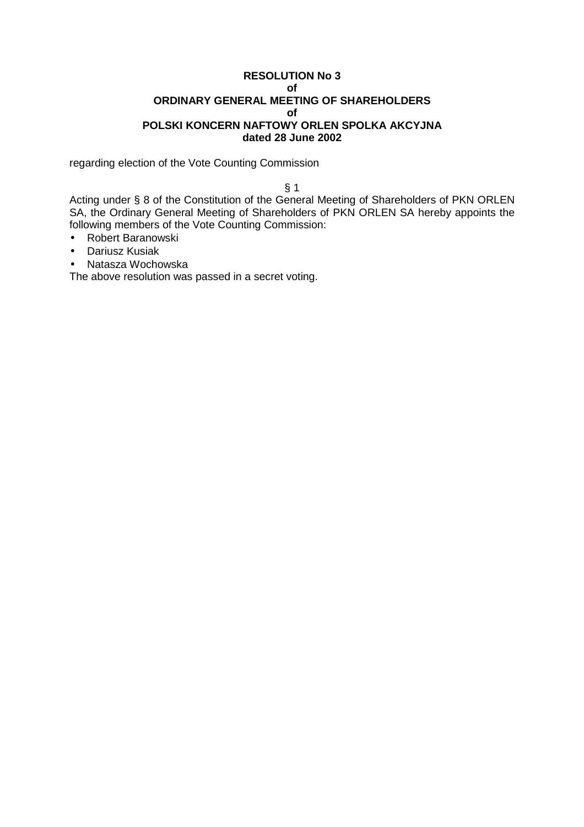### **RESOLUTION No 3 of ORDINARY GENERAL MEETING OF SHAREHOLDERS of POLSKI KONCERN NAFTOWY ORLEN SPOLKA AKCYJNA dated 28 June 2002**

regarding election of the Vote Counting Commission

§ 1

Acting under § 8 of the Constitution of the General Meeting of Shareholders of PKN ORLEN SA, the Ordinary General Meeting of Shareholders of PKN ORLEN SA hereby appoints the following members of the Vote Counting Commission:

- Robert Baranowski
- Dariusz Kusiak
- Natasza Wochowska

The above resolution was passed in a secret voting.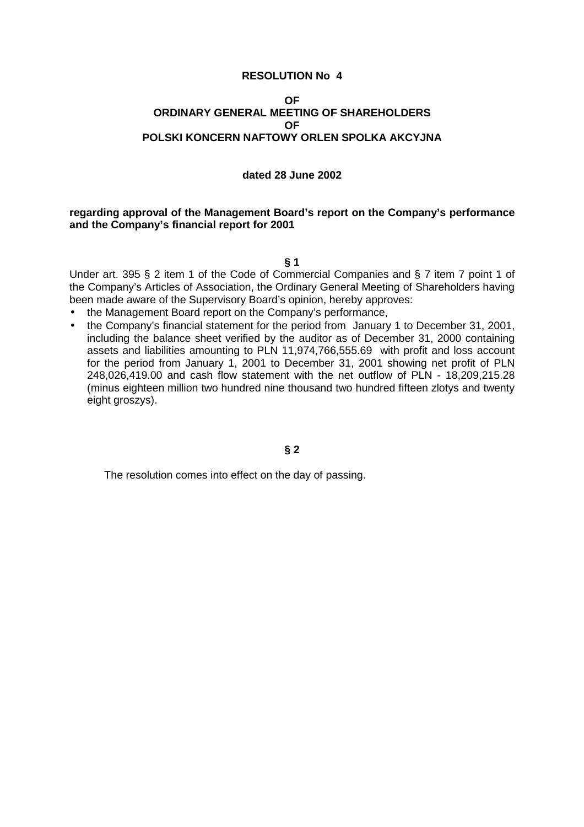### **OF ORDINARY GENERAL MEETING OF SHAREHOLDERS OF POLSKI KONCERN NAFTOWY ORLEN SPOLKA AKCYJNA**

### **dated 28 June 2002**

### **regarding approval of the Management Board's report on the Company's performance and the Company's financial report for 2001**

**§ 1** 

Under art. 395 § 2 item 1 of the Code of Commercial Companies and § 7 item 7 point 1 of the Company's Articles of Association, the Ordinary General Meeting of Shareholders having been made aware of the Supervisory Board's opinion, hereby approves:

- the Management Board report on the Company's performance,
- the Company's financial statement for the period from January 1 to December 31, 2001, including the balance sheet verified by the auditor as of December 31, 2000 containing assets and liabilities amounting to PLN 11,974,766,555.69 with profit and loss account for the period from January 1, 2001 to December 31, 2001 showing net profit of PLN 248,026,419.00 and cash flow statement with the net outflow of PLN - 18,209,215.28 (minus eighteen million two hundred nine thousand two hundred fifteen zlotys and twenty eight groszys).

# **§ 2**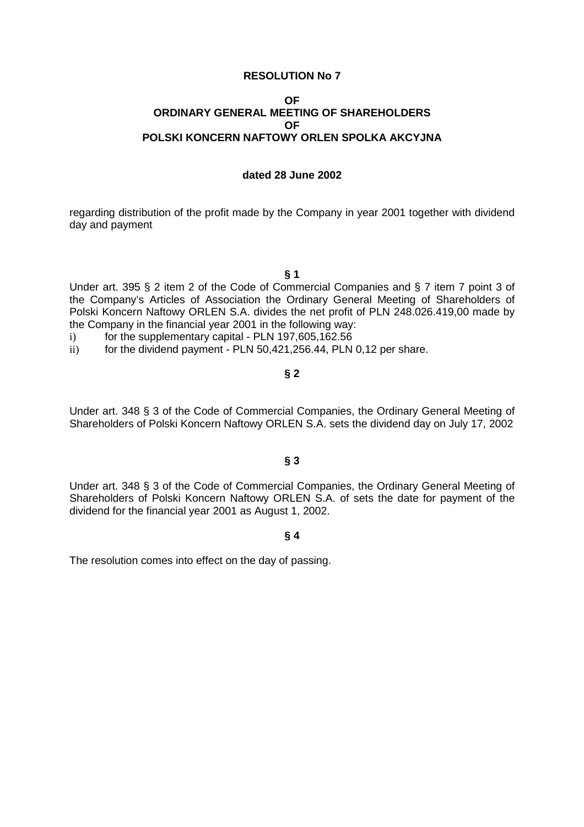### **OF ORDINARY GENERAL MEETING OF SHAREHOLDERS OF POLSKI KONCERN NAFTOWY ORLEN SPOLKA AKCYJNA**

#### **dated 28 June 2002**

regarding distribution of the profit made by the Company in year 2001 together with dividend day and payment

**§ 1** 

Under art. 395 § 2 item 2 of the Code of Commercial Companies and § 7 item 7 point 3 of the Company's Articles of Association the Ordinary General Meeting of Shareholders of Polski Koncern Naftowy ORLEN S.A. divides the net profit of PLN 248.026.419,00 made by the Company in the financial year 2001 in the following way:

- i) for the supplementary capital PLN 197,605,162.56
- ii) for the dividend payment PLN 50,421,256.44, PLN 0,12 per share.

### **§ 2**

Under art. 348 § 3 of the Code of Commercial Companies, the Ordinary General Meeting of Shareholders of Polski Koncern Naftowy ORLEN S.A. sets the dividend day on July 17, 2002

### **§ 3**

Under art. 348 § 3 of the Code of Commercial Companies, the Ordinary General Meeting of Shareholders of Polski Koncern Naftowy ORLEN S.A. of sets the date for payment of the dividend for the financial year 2001 as August 1, 2002.

### **§ 4**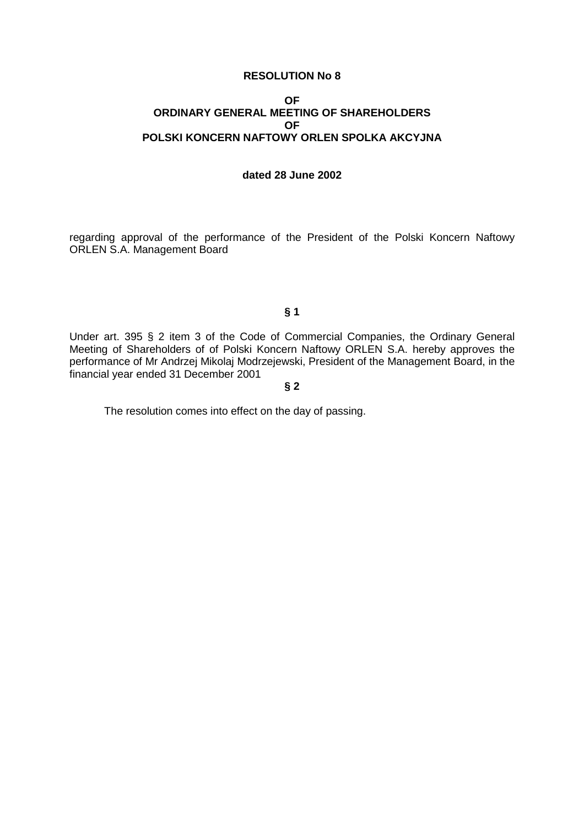### **OF ORDINARY GENERAL MEETING OF SHAREHOLDERS OF POLSKI KONCERN NAFTOWY ORLEN SPOLKA AKCYJNA**

### **dated 28 June 2002**

regarding approval of the performance of the President of the Polski Koncern Naftowy ORLEN S.A. Management Board

# **§ 1**

Under art. 395 § 2 item 3 of the Code of Commercial Companies, the Ordinary General Meeting of Shareholders of of Polski Koncern Naftowy ORLEN S.A. hereby approves the performance of Mr Andrzej Mikolaj Modrzejewski, President of the Management Board, in the financial year ended 31 December 2001

**§ 2**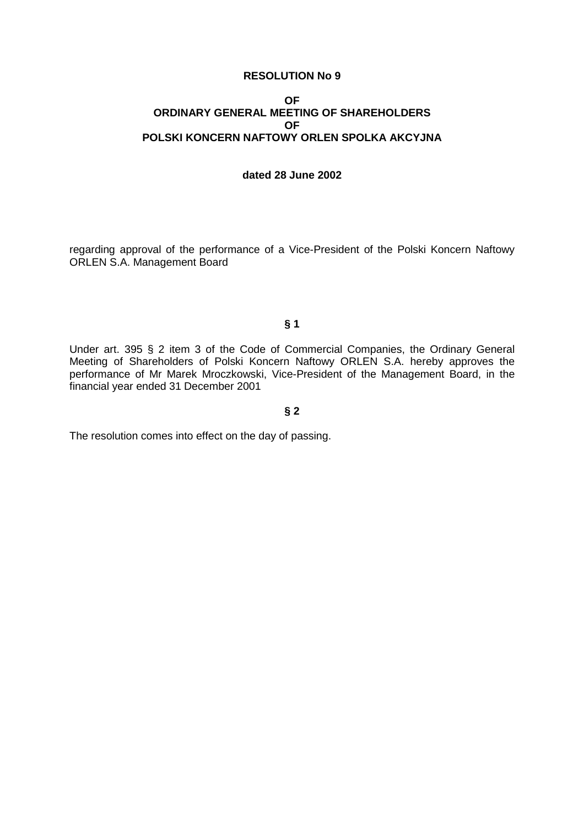### **OF ORDINARY GENERAL MEETING OF SHAREHOLDERS OF POLSKI KONCERN NAFTOWY ORLEN SPOLKA AKCYJNA**

### **dated 28 June 2002**

regarding approval of the performance of a Vice-President of the Polski Koncern Naftowy ORLEN S.A. Management Board

### **§ 1**

Under art. 395 § 2 item 3 of the Code of Commercial Companies, the Ordinary General Meeting of Shareholders of Polski Koncern Naftowy ORLEN S.A. hereby approves the performance of Mr Marek Mroczkowski, Vice-President of the Management Board, in the financial year ended 31 December 2001

### **§ 2**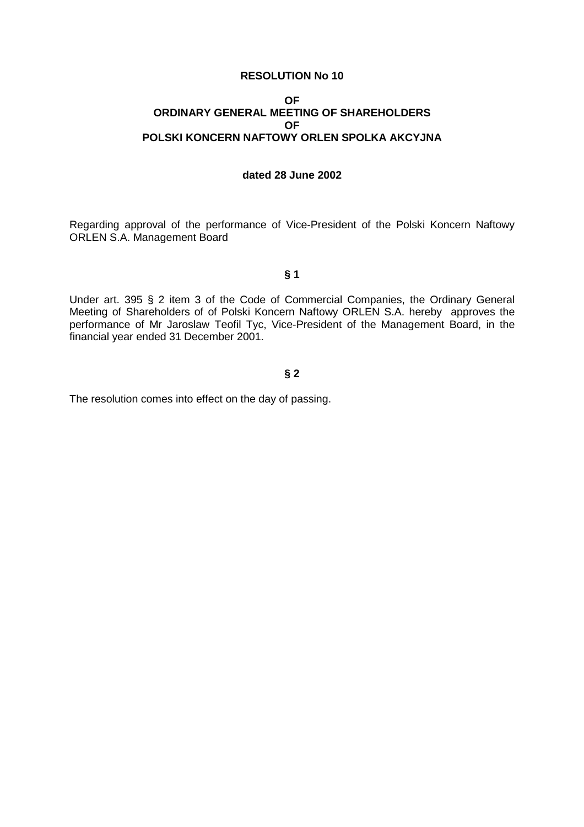#### **OF ORDINARY GENERAL MEETING OF SHAREHOLDERS OF POLSKI KONCERN NAFTOWY ORLEN SPOLKA AKCYJNA**

### **dated 28 June 2002**

Regarding approval of the performance of Vice-President of the Polski Koncern Naftowy ORLEN S.A. Management Board

### **§ 1**

Under art. 395 § 2 item 3 of the Code of Commercial Companies, the Ordinary General Meeting of Shareholders of of Polski Koncern Naftowy ORLEN S.A. hereby approves the performance of Mr Jaroslaw Teofil Tyc, Vice-President of the Management Board, in the financial year ended 31 December 2001.

# **§ 2**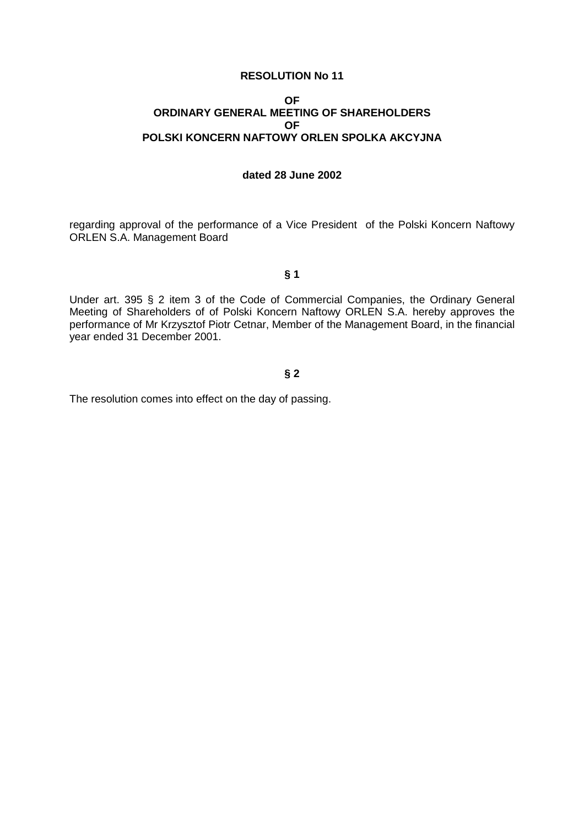#### **OF ORDINARY GENERAL MEETING OF SHAREHOLDERS OF POLSKI KONCERN NAFTOWY ORLEN SPOLKA AKCYJNA**

### **dated 28 June 2002**

regarding approval of the performance of a Vice President of the Polski Koncern Naftowy ORLEN S.A. Management Board

### **§ 1**

Under art. 395 § 2 item 3 of the Code of Commercial Companies, the Ordinary General Meeting of Shareholders of of Polski Koncern Naftowy ORLEN S.A. hereby approves the performance of Mr Krzysztof Piotr Cetnar, Member of the Management Board, in the financial year ended 31 December 2001.

# **§ 2**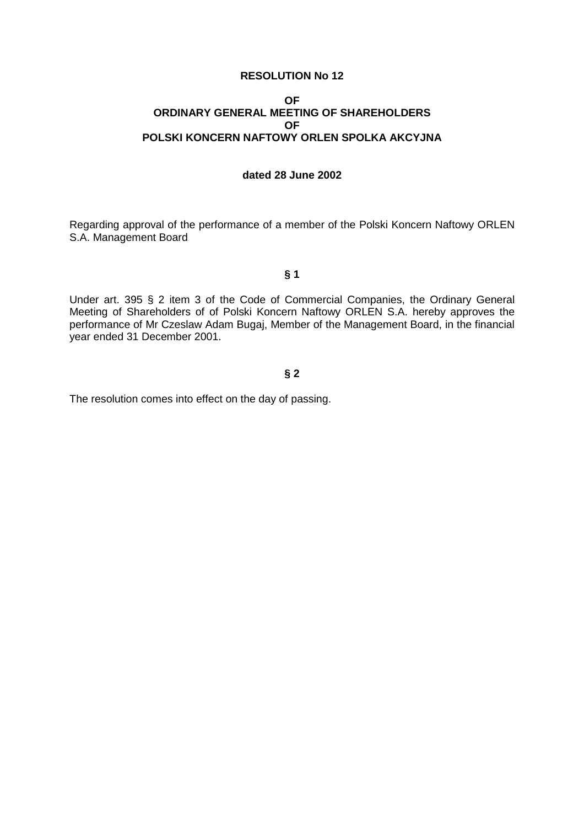#### **OF ORDINARY GENERAL MEETING OF SHAREHOLDERS OF POLSKI KONCERN NAFTOWY ORLEN SPOLKA AKCYJNA**

### **dated 28 June 2002**

Regarding approval of the performance of a member of the Polski Koncern Naftowy ORLEN S.A. Management Board

### **§ 1**

Under art. 395 § 2 item 3 of the Code of Commercial Companies, the Ordinary General Meeting of Shareholders of of Polski Koncern Naftowy ORLEN S.A. hereby approves the performance of Mr Czeslaw Adam Bugaj, Member of the Management Board, in the financial year ended 31 December 2001.

# **§ 2**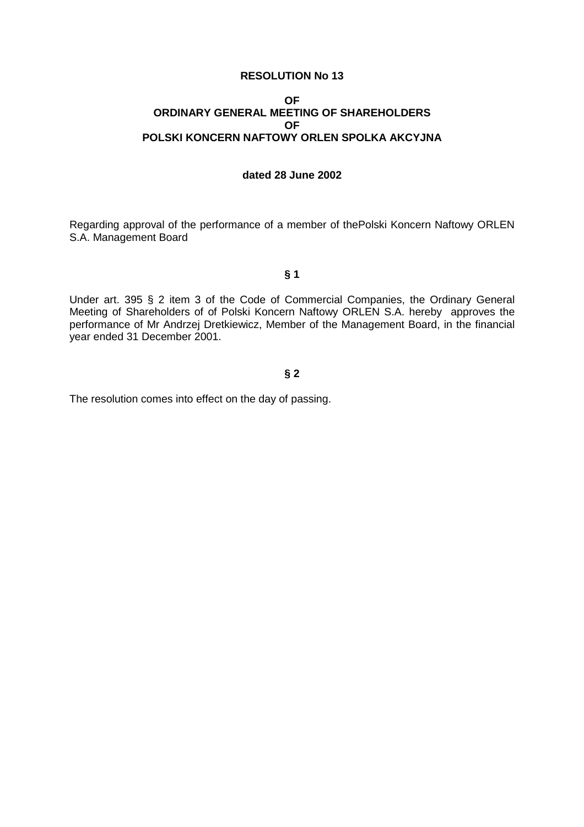#### **OF ORDINARY GENERAL MEETING OF SHAREHOLDERS OF POLSKI KONCERN NAFTOWY ORLEN SPOLKA AKCYJNA**

### **dated 28 June 2002**

Regarding approval of the performance of a member of thePolski Koncern Naftowy ORLEN S.A. Management Board

### **§ 1**

Under art. 395 § 2 item 3 of the Code of Commercial Companies, the Ordinary General Meeting of Shareholders of of Polski Koncern Naftowy ORLEN S.A. hereby approves the performance of Mr Andrzej Dretkiewicz, Member of the Management Board, in the financial year ended 31 December 2001.

# **§ 2**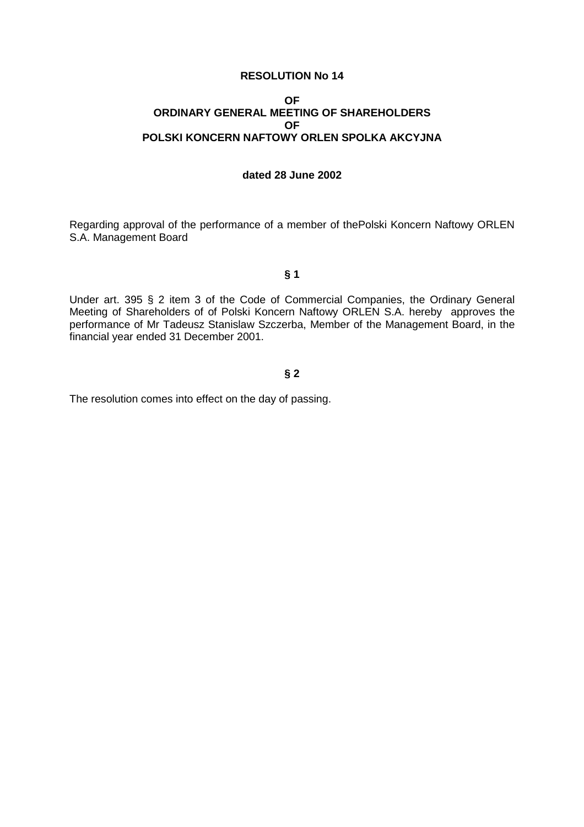#### **OF ORDINARY GENERAL MEETING OF SHAREHOLDERS OF POLSKI KONCERN NAFTOWY ORLEN SPOLKA AKCYJNA**

### **dated 28 June 2002**

Regarding approval of the performance of a member of thePolski Koncern Naftowy ORLEN S.A. Management Board

# **§ 1**

Under art. 395 § 2 item 3 of the Code of Commercial Companies, the Ordinary General Meeting of Shareholders of of Polski Koncern Naftowy ORLEN S.A. hereby approves the performance of Mr Tadeusz Stanislaw Szczerba, Member of the Management Board, in the financial year ended 31 December 2001.

# **§ 2**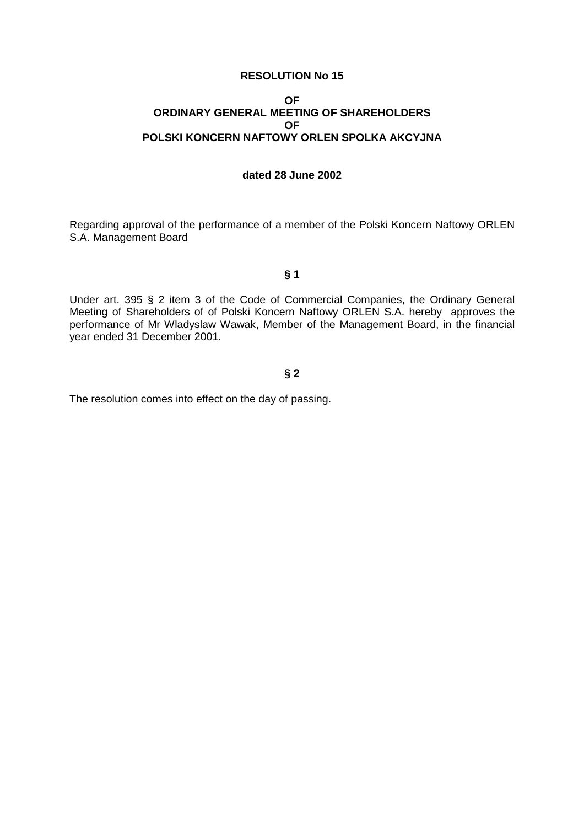#### **OF ORDINARY GENERAL MEETING OF SHAREHOLDERS OF POLSKI KONCERN NAFTOWY ORLEN SPOLKA AKCYJNA**

### **dated 28 June 2002**

Regarding approval of the performance of a member of the Polski Koncern Naftowy ORLEN S.A. Management Board

### **§ 1**

Under art. 395 § 2 item 3 of the Code of Commercial Companies, the Ordinary General Meeting of Shareholders of of Polski Koncern Naftowy ORLEN S.A. hereby approves the performance of Mr Wladyslaw Wawak, Member of the Management Board, in the financial year ended 31 December 2001.

# **§ 2**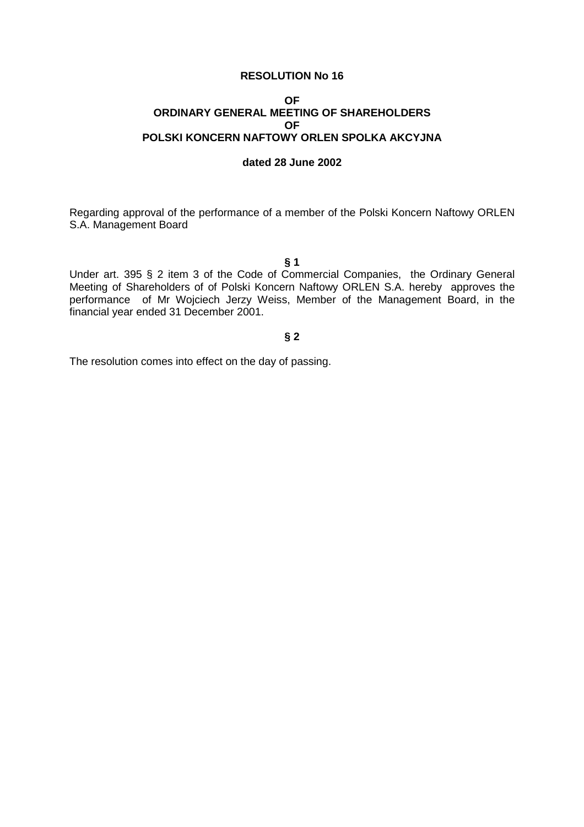#### **OF ORDINARY GENERAL MEETING OF SHAREHOLDERS OF POLSKI KONCERN NAFTOWY ORLEN SPOLKA AKCYJNA**

#### **dated 28 June 2002**

Regarding approval of the performance of a member of the Polski Koncern Naftowy ORLEN S.A. Management Board

#### **§ 1**

Under art. 395 § 2 item 3 of the Code of Commercial Companies, the Ordinary General Meeting of Shareholders of of Polski Koncern Naftowy ORLEN S.A. hereby approves the performance of Mr Wojciech Jerzy Weiss, Member of the Management Board, in the financial year ended 31 December 2001.

### **§ 2**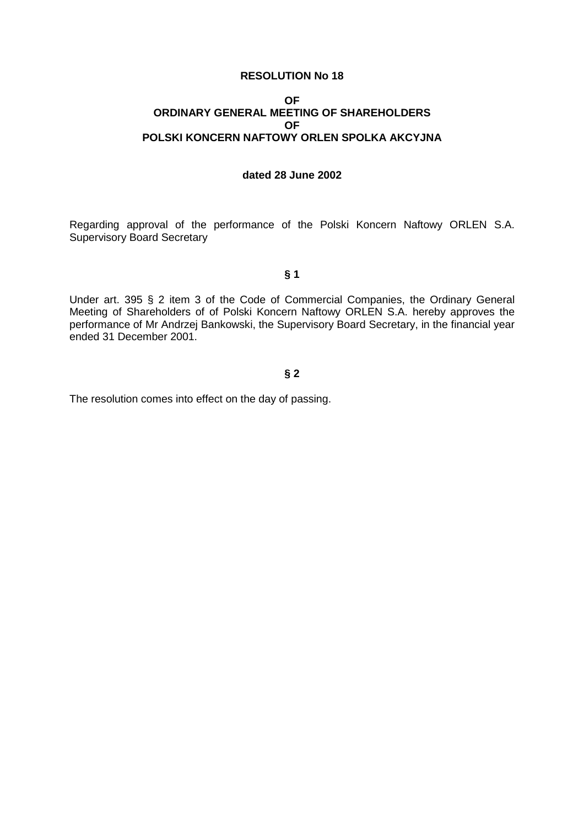#### **OF ORDINARY GENERAL MEETING OF SHAREHOLDERS OF POLSKI KONCERN NAFTOWY ORLEN SPOLKA AKCYJNA**

#### **dated 28 June 2002**

Regarding approval of the performance of the Polski Koncern Naftowy ORLEN S.A. Supervisory Board Secretary

### **§ 1**

Under art. 395 § 2 item 3 of the Code of Commercial Companies, the Ordinary General Meeting of Shareholders of of Polski Koncern Naftowy ORLEN S.A. hereby approves the performance of Mr Andrzej Bankowski, the Supervisory Board Secretary, in the financial year ended 31 December 2001.

# **§ 2**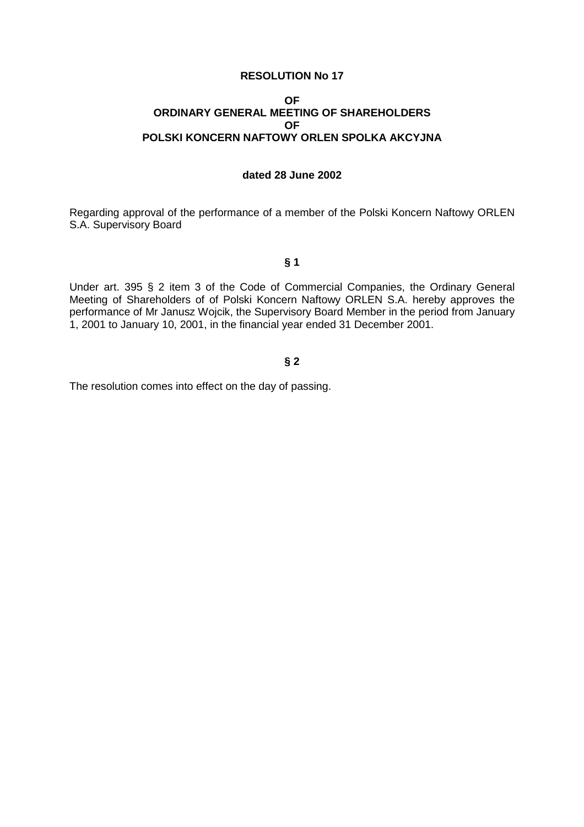#### **OF ORDINARY GENERAL MEETING OF SHAREHOLDERS OF POLSKI KONCERN NAFTOWY ORLEN SPOLKA AKCYJNA**

# **dated 28 June 2002**

Regarding approval of the performance of a member of the Polski Koncern Naftowy ORLEN S.A. Supervisory Board

**§ 1** 

Under art. 395 § 2 item 3 of the Code of Commercial Companies, the Ordinary General Meeting of Shareholders of of Polski Koncern Naftowy ORLEN S.A. hereby approves the performance of Mr Janusz Wojcik, the Supervisory Board Member in the period from January 1, 2001 to January 10, 2001, in the financial year ended 31 December 2001.

# **§ 2**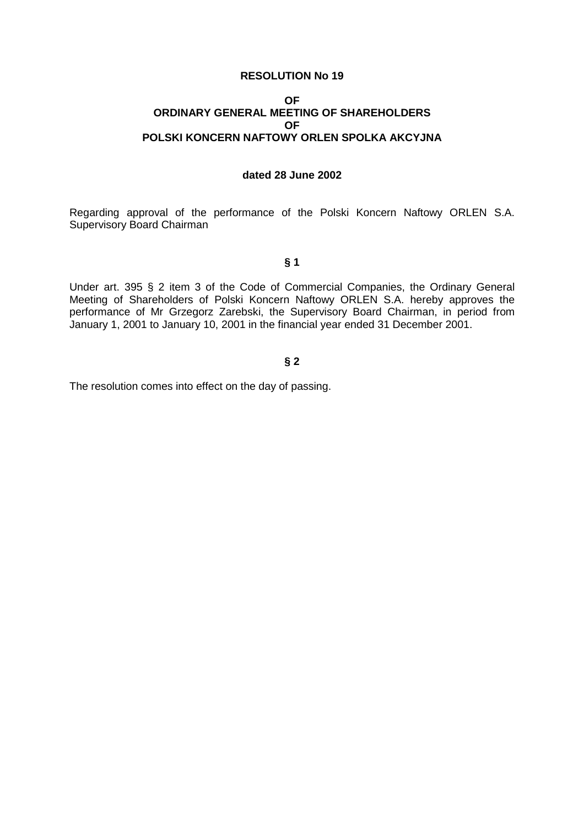#### **OF ORDINARY GENERAL MEETING OF SHAREHOLDERS OF POLSKI KONCERN NAFTOWY ORLEN SPOLKA AKCYJNA**

### **dated 28 June 2002**

Regarding approval of the performance of the Polski Koncern Naftowy ORLEN S.A. Supervisory Board Chairman

**§ 1** 

Under art. 395 § 2 item 3 of the Code of Commercial Companies, the Ordinary General Meeting of Shareholders of Polski Koncern Naftowy ORLEN S.A. hereby approves the performance of Mr Grzegorz Zarebski, the Supervisory Board Chairman, in period from January 1, 2001 to January 10, 2001 in the financial year ended 31 December 2001.

### **§ 2**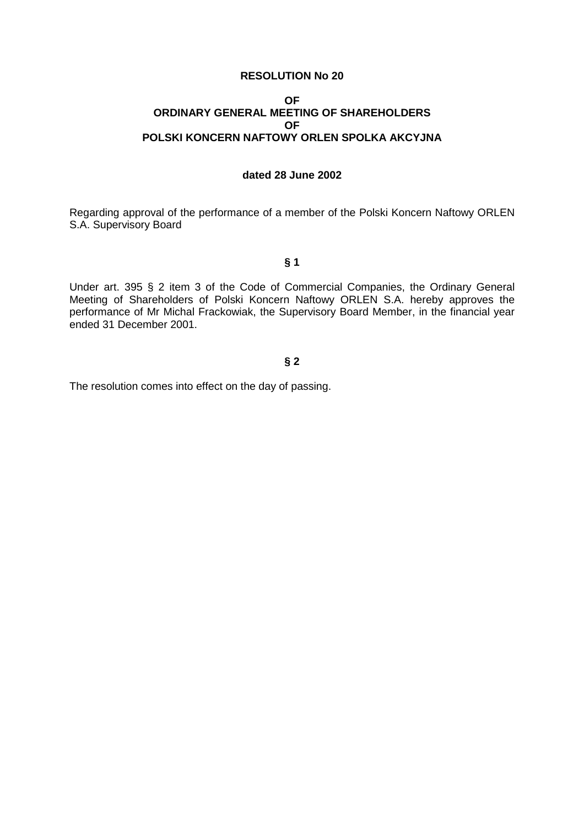#### **OF ORDINARY GENERAL MEETING OF SHAREHOLDERS OF POLSKI KONCERN NAFTOWY ORLEN SPOLKA AKCYJNA**

### **dated 28 June 2002**

Regarding approval of the performance of a member of the Polski Koncern Naftowy ORLEN S.A. Supervisory Board

**§ 1** 

Under art. 395 § 2 item 3 of the Code of Commercial Companies, the Ordinary General Meeting of Shareholders of Polski Koncern Naftowy ORLEN S.A. hereby approves the performance of Mr Michal Frackowiak, the Supervisory Board Member, in the financial year ended 31 December 2001.

### **§ 2**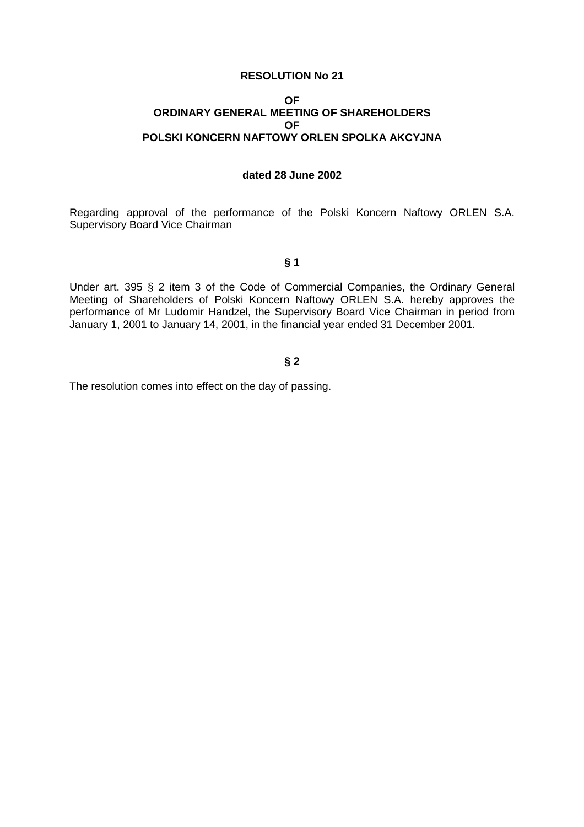#### **OF ORDINARY GENERAL MEETING OF SHAREHOLDERS OF POLSKI KONCERN NAFTOWY ORLEN SPOLKA AKCYJNA**

#### **dated 28 June 2002**

Regarding approval of the performance of the Polski Koncern Naftowy ORLEN S.A. Supervisory Board Vice Chairman

**§ 1** 

Under art. 395 § 2 item 3 of the Code of Commercial Companies, the Ordinary General Meeting of Shareholders of Polski Koncern Naftowy ORLEN S.A. hereby approves the performance of Mr Ludomir Handzel, the Supervisory Board Vice Chairman in period from January 1, 2001 to January 14, 2001, in the financial year ended 31 December 2001.

### **§ 2**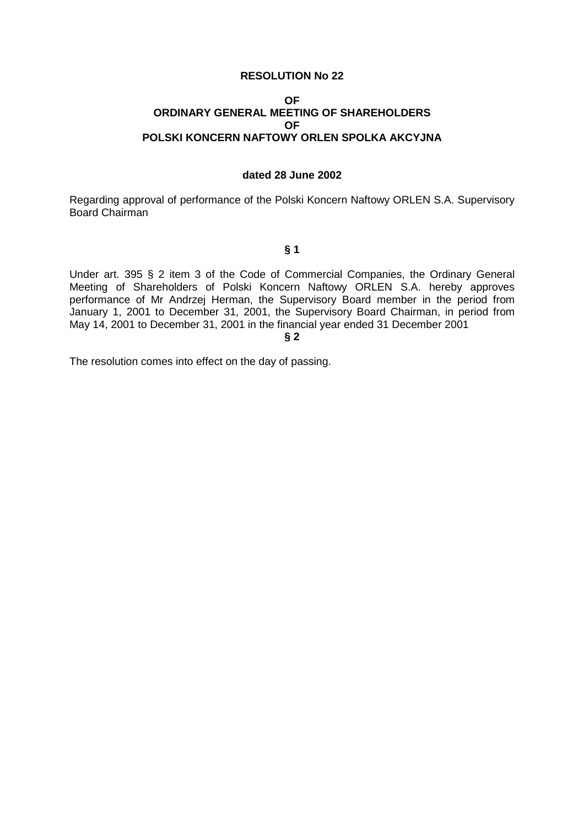### **OF ORDINARY GENERAL MEETING OF SHAREHOLDERS OF POLSKI KONCERN NAFTOWY ORLEN SPOLKA AKCYJNA**

### **dated 28 June 2002**

Regarding approval of performance of the Polski Koncern Naftowy ORLEN S.A. Supervisory Board Chairman

#### **§ 1**

Under art. 395 § 2 item 3 of the Code of Commercial Companies, the Ordinary General Meeting of Shareholders of Polski Koncern Naftowy ORLEN S.A. hereby approves performance of Mr Andrzej Herman, the Supervisory Board member in the period from January 1, 2001 to December 31, 2001, the Supervisory Board Chairman, in period from May 14, 2001 to December 31, 2001 in the financial year ended 31 December 2001

**§ 2**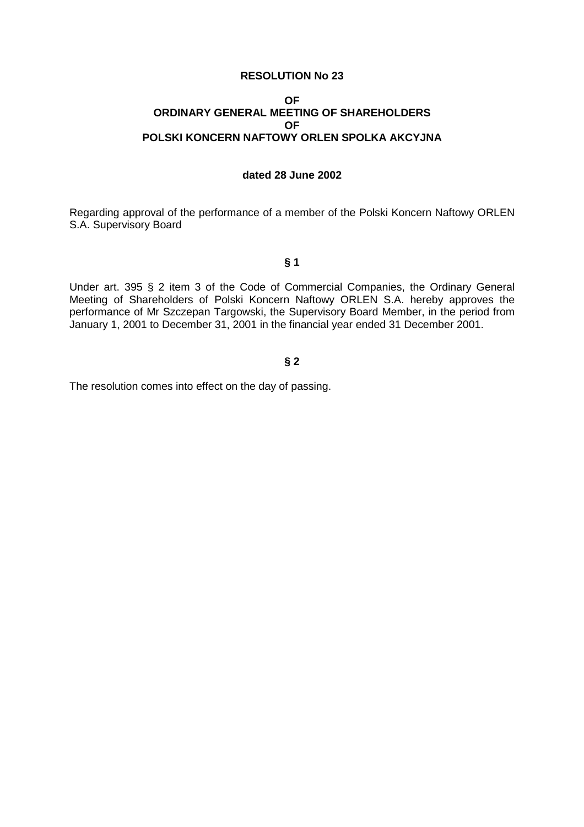#### **OF ORDINARY GENERAL MEETING OF SHAREHOLDERS OF POLSKI KONCERN NAFTOWY ORLEN SPOLKA AKCYJNA**

# **dated 28 June 2002**

Regarding approval of the performance of a member of the Polski Koncern Naftowy ORLEN S.A. Supervisory Board

**§ 1** 

Under art. 395 § 2 item 3 of the Code of Commercial Companies, the Ordinary General Meeting of Shareholders of Polski Koncern Naftowy ORLEN S.A. hereby approves the performance of Mr Szczepan Targowski, the Supervisory Board Member, in the period from January 1, 2001 to December 31, 2001 in the financial year ended 31 December 2001.

### **§ 2**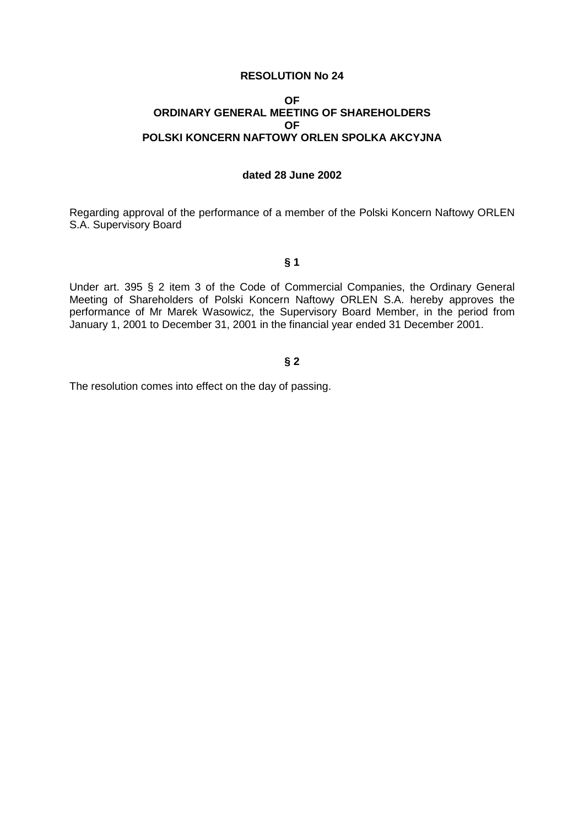#### **OF ORDINARY GENERAL MEETING OF SHAREHOLDERS OF POLSKI KONCERN NAFTOWY ORLEN SPOLKA AKCYJNA**

# **dated 28 June 2002**

Regarding approval of the performance of a member of the Polski Koncern Naftowy ORLEN S.A. Supervisory Board

**§ 1** 

Under art. 395 § 2 item 3 of the Code of Commercial Companies, the Ordinary General Meeting of Shareholders of Polski Koncern Naftowy ORLEN S.A. hereby approves the performance of Mr Marek Wasowicz, the Supervisory Board Member, in the period from January 1, 2001 to December 31, 2001 in the financial year ended 31 December 2001.

### **§ 2**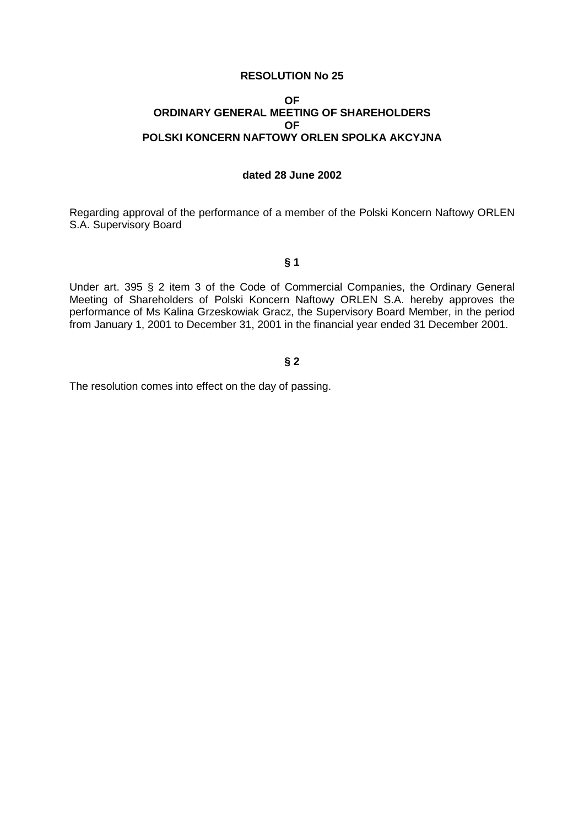#### **OF ORDINARY GENERAL MEETING OF SHAREHOLDERS OF POLSKI KONCERN NAFTOWY ORLEN SPOLKA AKCYJNA**

# **dated 28 June 2002**

Regarding approval of the performance of a member of the Polski Koncern Naftowy ORLEN S.A. Supervisory Board

**§ 1** 

Under art. 395 § 2 item 3 of the Code of Commercial Companies, the Ordinary General Meeting of Shareholders of Polski Koncern Naftowy ORLEN S.A. hereby approves the performance of Ms Kalina Grzeskowiak Gracz, the Supervisory Board Member, in the period from January 1, 2001 to December 31, 2001 in the financial year ended 31 December 2001.

### **§ 2**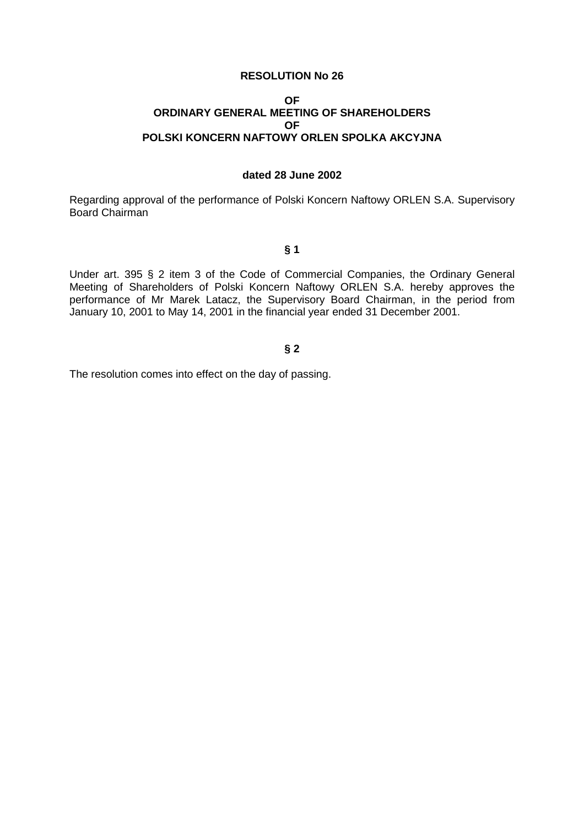### **OF ORDINARY GENERAL MEETING OF SHAREHOLDERS OF POLSKI KONCERN NAFTOWY ORLEN SPOLKA AKCYJNA**

### **dated 28 June 2002**

Regarding approval of the performance of Polski Koncern Naftowy ORLEN S.A. Supervisory Board Chairman

#### **§ 1**

Under art. 395 § 2 item 3 of the Code of Commercial Companies, the Ordinary General Meeting of Shareholders of Polski Koncern Naftowy ORLEN S.A. hereby approves the performance of Mr Marek Latacz, the Supervisory Board Chairman, in the period from January 10, 2001 to May 14, 2001 in the financial year ended 31 December 2001.

### **§ 2**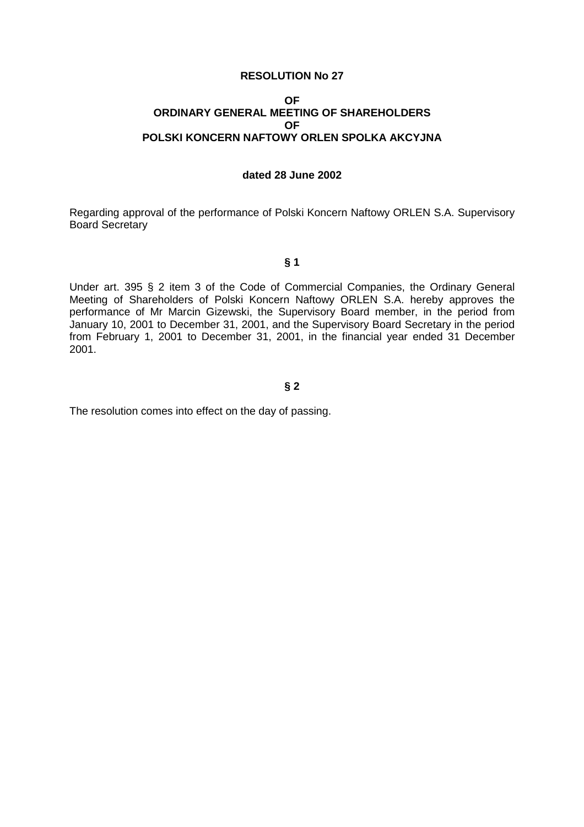#### **OF ORDINARY GENERAL MEETING OF SHAREHOLDERS OF POLSKI KONCERN NAFTOWY ORLEN SPOLKA AKCYJNA**

#### **dated 28 June 2002**

Regarding approval of the performance of Polski Koncern Naftowy ORLEN S.A. Supervisory Board Secretary

**§ 1** 

Under art. 395 § 2 item 3 of the Code of Commercial Companies, the Ordinary General Meeting of Shareholders of Polski Koncern Naftowy ORLEN S.A. hereby approves the performance of Mr Marcin Gizewski, the Supervisory Board member, in the period from January 10, 2001 to December 31, 2001, and the Supervisory Board Secretary in the period from February 1, 2001 to December 31, 2001, in the financial year ended 31 December 2001.

#### **§ 2**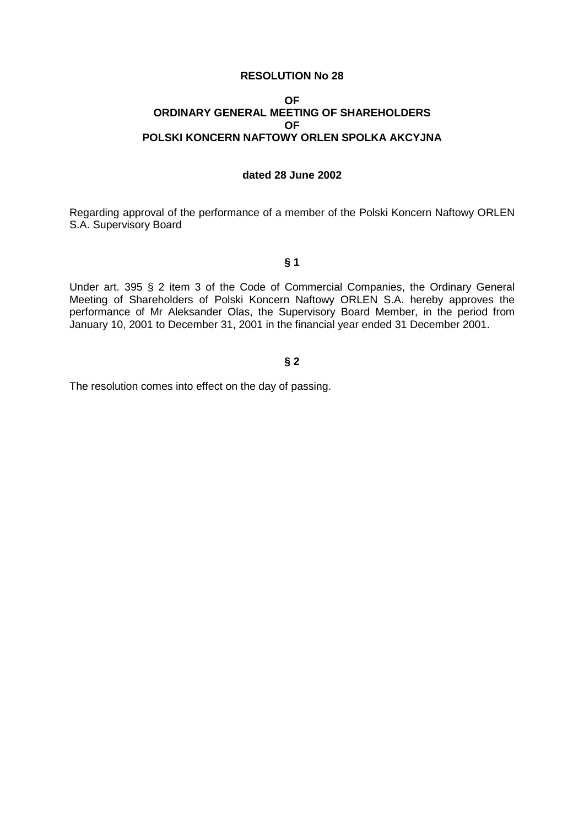#### **OF ORDINARY GENERAL MEETING OF SHAREHOLDERS OF POLSKI KONCERN NAFTOWY ORLEN SPOLKA AKCYJNA**

# **dated 28 June 2002**

Regarding approval of the performance of a member of the Polski Koncern Naftowy ORLEN S.A. Supervisory Board

**§ 1** 

Under art. 395 § 2 item 3 of the Code of Commercial Companies, the Ordinary General Meeting of Shareholders of Polski Koncern Naftowy ORLEN S.A. hereby approves the performance of Mr Aleksander Olas, the Supervisory Board Member, in the period from January 10, 2001 to December 31, 2001 in the financial year ended 31 December 2001.

### **§ 2**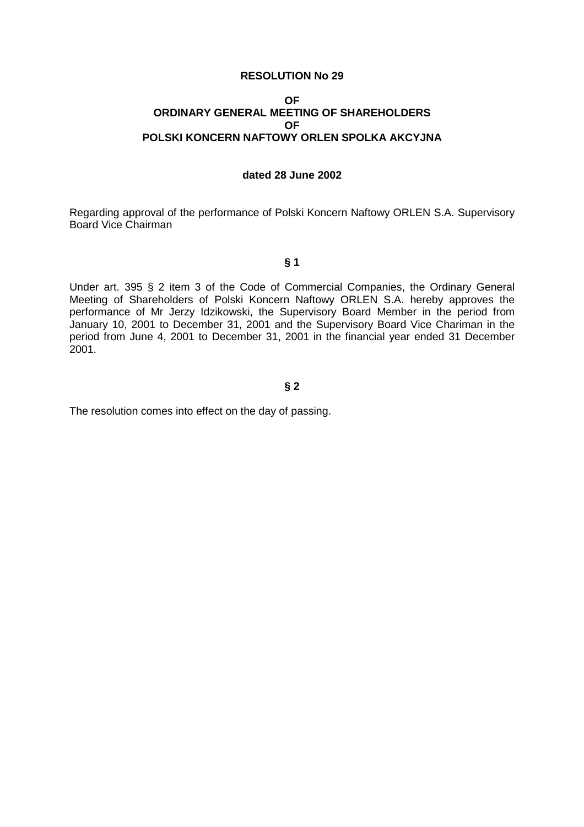#### **OF ORDINARY GENERAL MEETING OF SHAREHOLDERS OF POLSKI KONCERN NAFTOWY ORLEN SPOLKA AKCYJNA**

#### **dated 28 June 2002**

Regarding approval of the performance of Polski Koncern Naftowy ORLEN S.A. Supervisory Board Vice Chairman

**§ 1** 

Under art. 395 § 2 item 3 of the Code of Commercial Companies, the Ordinary General Meeting of Shareholders of Polski Koncern Naftowy ORLEN S.A. hereby approves the performance of Mr Jerzy Idzikowski, the Supervisory Board Member in the period from January 10, 2001 to December 31, 2001 and the Supervisory Board Vice Chariman in the period from June 4, 2001 to December 31, 2001 in the financial year ended 31 December 2001.

### **§ 2**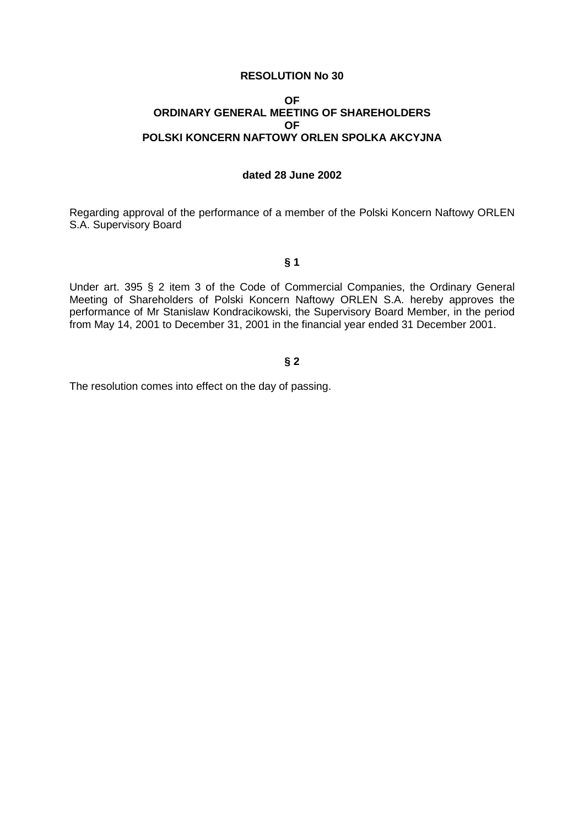#### **OF ORDINARY GENERAL MEETING OF SHAREHOLDERS OF POLSKI KONCERN NAFTOWY ORLEN SPOLKA AKCYJNA**

# **dated 28 June 2002**

Regarding approval of the performance of a member of the Polski Koncern Naftowy ORLEN S.A. Supervisory Board

**§ 1** 

Under art. 395 § 2 item 3 of the Code of Commercial Companies, the Ordinary General Meeting of Shareholders of Polski Koncern Naftowy ORLEN S.A. hereby approves the performance of Mr Stanislaw Kondracikowski, the Supervisory Board Member, in the period from May 14, 2001 to December 31, 2001 in the financial year ended 31 December 2001.

### **§ 2**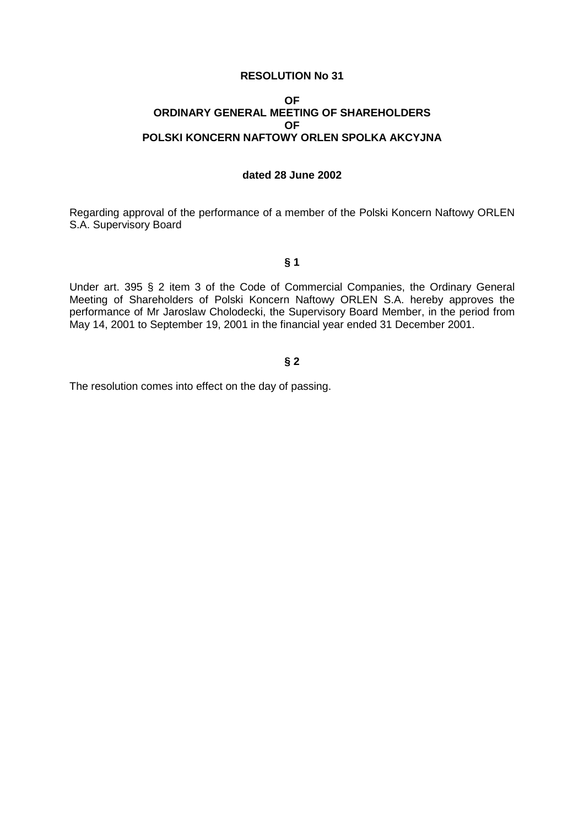#### **OF ORDINARY GENERAL MEETING OF SHAREHOLDERS OF POLSKI KONCERN NAFTOWY ORLEN SPOLKA AKCYJNA**

# **dated 28 June 2002**

Regarding approval of the performance of a member of the Polski Koncern Naftowy ORLEN S.A. Supervisory Board

**§ 1** 

Under art. 395 § 2 item 3 of the Code of Commercial Companies, the Ordinary General Meeting of Shareholders of Polski Koncern Naftowy ORLEN S.A. hereby approves the performance of Mr Jaroslaw Cholodecki, the Supervisory Board Member, in the period from May 14, 2001 to September 19, 2001 in the financial year ended 31 December 2001.

# **§ 2**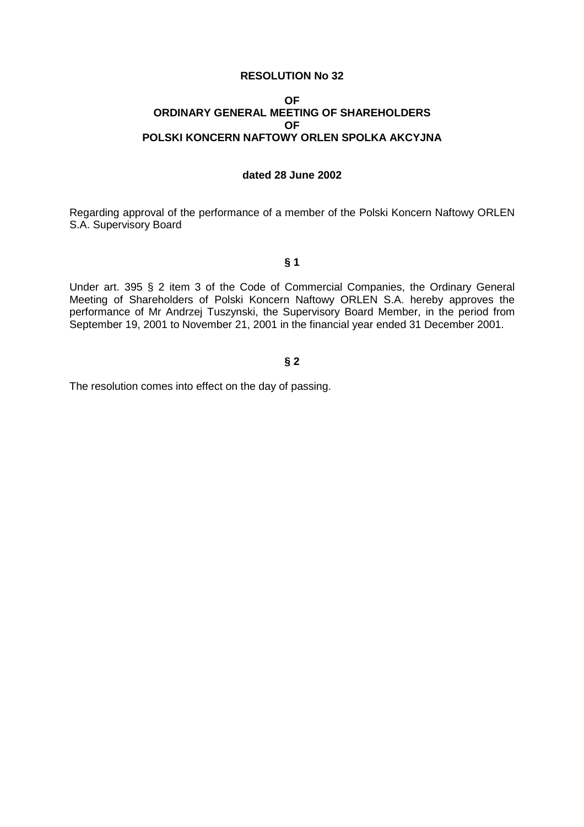#### **OF ORDINARY GENERAL MEETING OF SHAREHOLDERS OF POLSKI KONCERN NAFTOWY ORLEN SPOLKA AKCYJNA**

# **dated 28 June 2002**

Regarding approval of the performance of a member of the Polski Koncern Naftowy ORLEN S.A. Supervisory Board

**§ 1** 

Under art. 395 § 2 item 3 of the Code of Commercial Companies, the Ordinary General Meeting of Shareholders of Polski Koncern Naftowy ORLEN S.A. hereby approves the performance of Mr Andrzej Tuszynski, the Supervisory Board Member, in the period from September 19, 2001 to November 21, 2001 in the financial year ended 31 December 2001.

### **§ 2**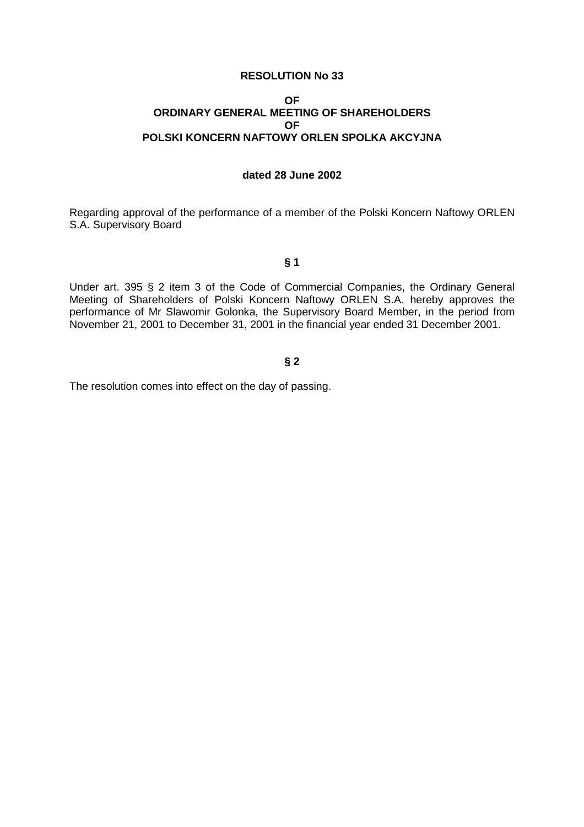#### **OF ORDINARY GENERAL MEETING OF SHAREHOLDERS OF POLSKI KONCERN NAFTOWY ORLEN SPOLKA AKCYJNA**

# **dated 28 June 2002**

Regarding approval of the performance of a member of the Polski Koncern Naftowy ORLEN S.A. Supervisory Board

**§ 1** 

Under art. 395 § 2 item 3 of the Code of Commercial Companies, the Ordinary General Meeting of Shareholders of Polski Koncern Naftowy ORLEN S.A. hereby approves the performance of Mr Slawomir Golonka, the Supervisory Board Member, in the period from November 21, 2001 to December 31, 2001 in the financial year ended 31 December 2001.

### **§ 2**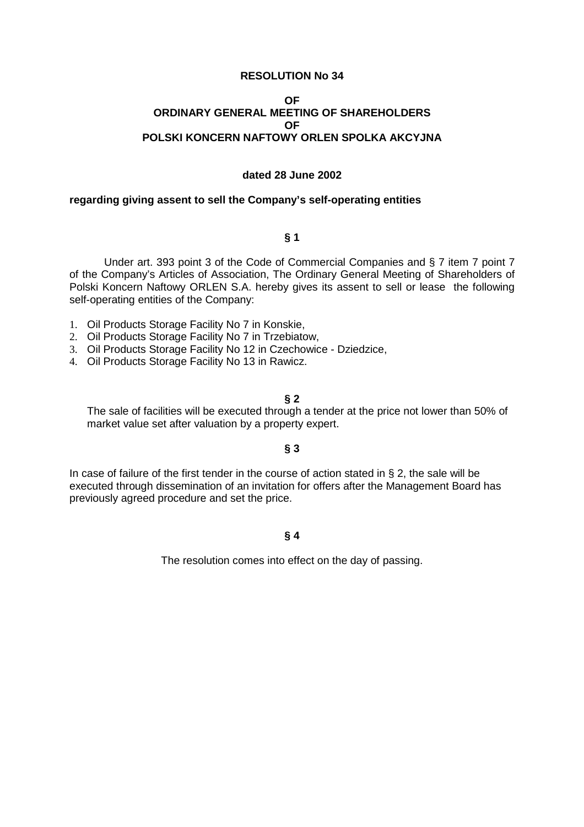#### **OF ORDINARY GENERAL MEETING OF SHAREHOLDERS OF POLSKI KONCERN NAFTOWY ORLEN SPOLKA AKCYJNA**

#### **dated 28 June 2002**

#### **regarding giving assent to sell the Company's self-operating entities**

### **§ 1**

Under art. 393 point 3 of the Code of Commercial Companies and § 7 item 7 point 7 of the Company's Articles of Association, The Ordinary General Meeting of Shareholders of Polski Koncern Naftowy ORLEN S.A. hereby gives its assent to sell or lease the following self-operating entities of the Company:

- 1. Oil Products Storage Facility No 7 in Konskie,
- 2. Oil Products Storage Facility No 7 in Trzebiatow,
- 3. Oil Products Storage Facility No 12 in Czechowice Dziedzice,
- 4. Oil Products Storage Facility No 13 in Rawicz.

#### **§ 2**

 The sale of facilities will be executed through a tender at the price not lower than 50% of market value set after valuation by a property expert.

### **§ 3**

In case of failure of the first tender in the course of action stated in  $\S 2$ , the sale will be executed through dissemination of an invitation for offers after the Management Board has previously agreed procedure and set the price.

### **§ 4**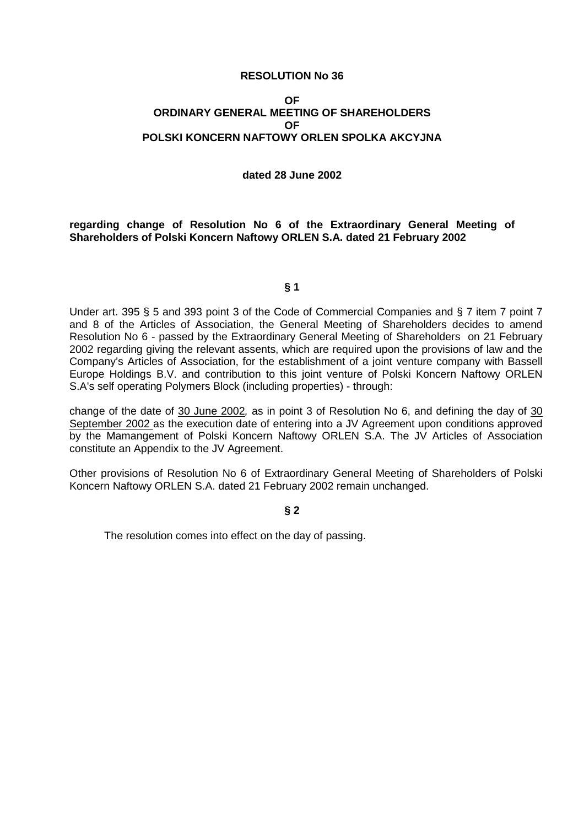#### **OF ORDINARY GENERAL MEETING OF SHAREHOLDERS OF POLSKI KONCERN NAFTOWY ORLEN SPOLKA AKCYJNA**

#### **dated 28 June 2002**

**regarding change of Resolution No 6 of the Extraordinary General Meeting of Shareholders of Polski Koncern Naftowy ORLEN S.A. dated 21 February 2002** 

### **§ 1**

Under art. 395 § 5 and 393 point 3 of the Code of Commercial Companies and § 7 item 7 point 7 and 8 of the Articles of Association, the General Meeting of Shareholders decides to amend Resolution No 6 - passed by the Extraordinary General Meeting of Shareholders on 21 February 2002 regarding giving the relevant assents, which are required upon the provisions of law and the Company's Articles of Association, for the establishment of a joint venture company with Bassell Europe Holdings B.V. and contribution to this joint venture of Polski Koncern Naftowy ORLEN S.A's self operating Polymers Block (including properties) - through:

change of the date of 30 June 2002, as in point 3 of Resolution No 6, and defining the day of 30 September 2002 as the execution date of entering into a JV Agreement upon conditions approved by the Mamangement of Polski Koncern Naftowy ORLEN S.A. The JV Articles of Association constitute an Appendix to the JV Agreement.

Other provisions of Resolution No 6 of Extraordinary General Meeting of Shareholders of Polski Koncern Naftowy ORLEN S.A. dated 21 February 2002 remain unchanged.

### **§ 2**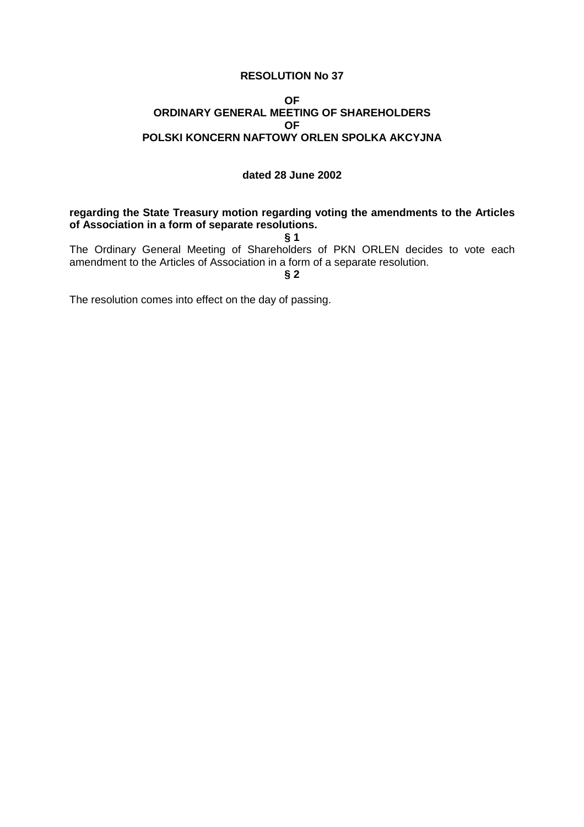### **OF ORDINARY GENERAL MEETING OF SHAREHOLDERS OF POLSKI KONCERN NAFTOWY ORLEN SPOLKA AKCYJNA**

### **dated 28 June 2002**

### **regarding the State Treasury motion regarding voting the amendments to the Articles of Association in a form of separate resolutions.**

**§ 1** 

The Ordinary General Meeting of Shareholders of PKN ORLEN decides to vote each amendment to the Articles of Association in a form of a separate resolution.

**§ 2**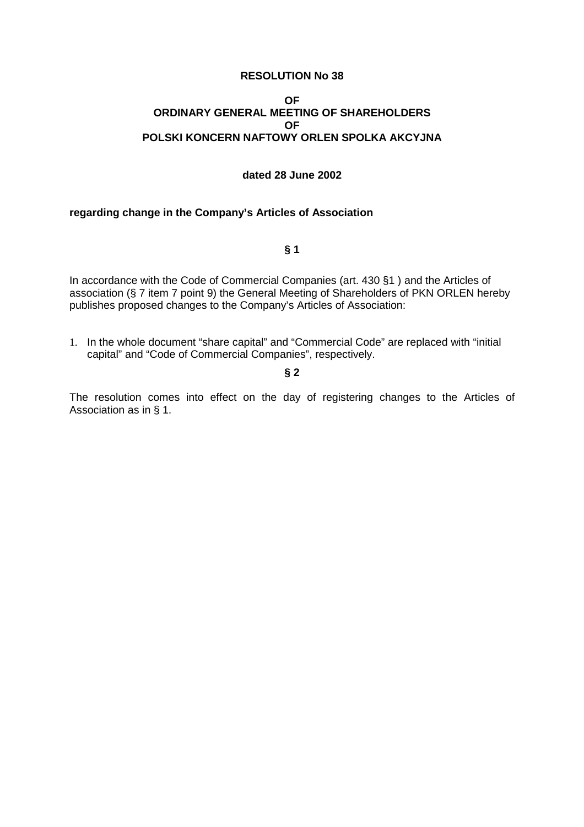### **OF ORDINARY GENERAL MEETING OF SHAREHOLDERS OF POLSKI KONCERN NAFTOWY ORLEN SPOLKA AKCYJNA**

### **dated 28 June 2002**

### **regarding change in the Company's Articles of Association**

### **§ 1**

In accordance with the Code of Commercial Companies (art. 430 §1) and the Articles of association (§ 7 item 7 point 9) the General Meeting of Shareholders of PKN ORLEN hereby publishes proposed changes to the Company's Articles of Association:

1. In the whole document "share capital" and "Commercial Code" are replaced with "initial capital" and "Code of Commercial Companies", respectively.

### **§ 2**

The resolution comes into effect on the day of registering changes to the Articles of Association as in § 1.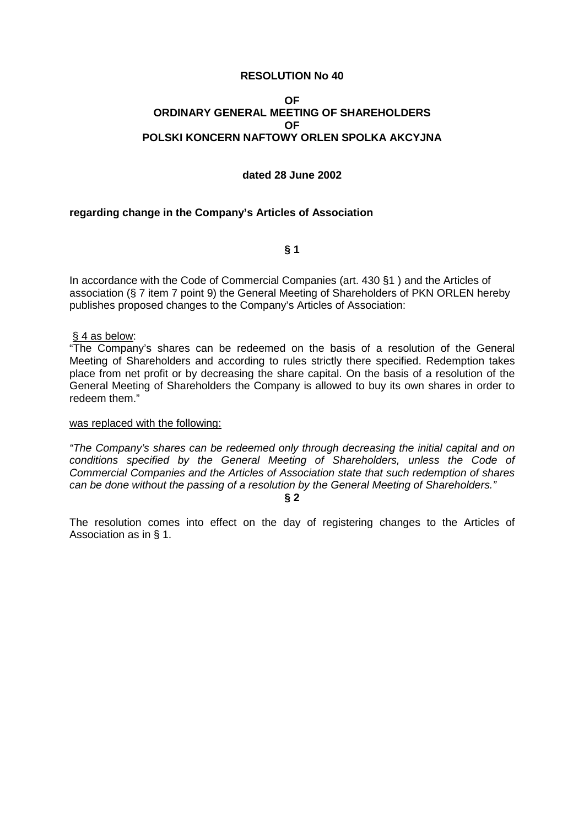### **OF ORDINARY GENERAL MEETING OF SHAREHOLDERS OF POLSKI KONCERN NAFTOWY ORLEN SPOLKA AKCYJNA**

### **dated 28 June 2002**

### **regarding change in the Company's Articles of Association**

**§ 1** 

In accordance with the Code of Commercial Companies (art. 430 §1 ) and the Articles of association (§ 7 item 7 point 9) the General Meeting of Shareholders of PKN ORLEN hereby publishes proposed changes to the Company's Articles of Association:

#### § 4 as below:

"The Company's shares can be redeemed on the basis of a resolution of the General Meeting of Shareholders and according to rules strictly there specified. Redemption takes place from net profit or by decreasing the share capital. On the basis of a resolution of the General Meeting of Shareholders the Company is allowed to buy its own shares in order to redeem them."

#### was replaced with the following:

"The Company's shares can be redeemed only through decreasing the initial capital and on conditions specified by the General Meeting of Shareholders, unless the Code of Commercial Companies and the Articles of Association state that such redemption of shares can be done without the passing of a resolution by the General Meeting of Shareholders."

**§ 2** 

The resolution comes into effect on the day of registering changes to the Articles of Association as in § 1.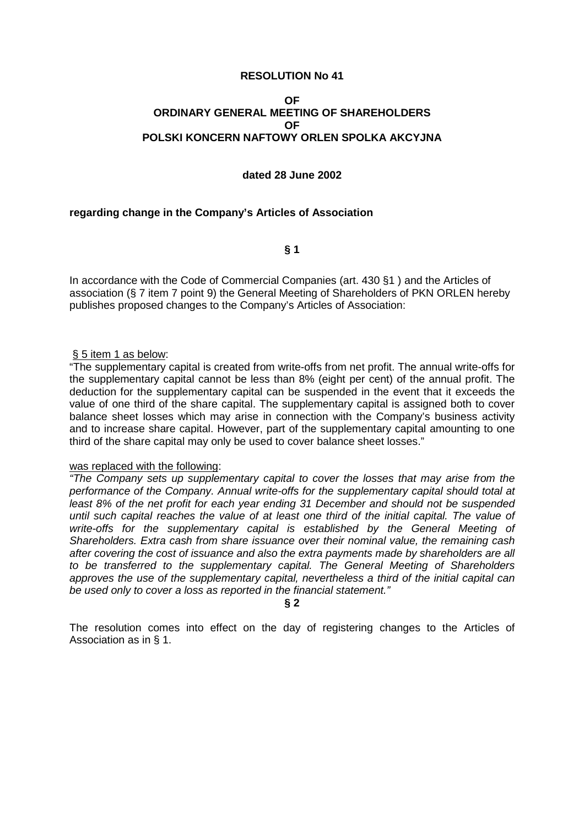## **OF ORDINARY GENERAL MEETING OF SHAREHOLDERS OF POLSKI KONCERN NAFTOWY ORLEN SPOLKA AKCYJNA**

#### **dated 28 June 2002**

#### **regarding change in the Company's Articles of Association**

**§ 1** 

In accordance with the Code of Commercial Companies (art. 430 §1 ) and the Articles of association (§ 7 item 7 point 9) the General Meeting of Shareholders of PKN ORLEN hereby publishes proposed changes to the Company's Articles of Association:

#### § 5 item 1 as below:

"The supplementary capital is created from write-offs from net profit. The annual write-offs for the supplementary capital cannot be less than 8% (eight per cent) of the annual profit. The deduction for the supplementary capital can be suspended in the event that it exceeds the value of one third of the share capital. The supplementary capital is assigned both to cover balance sheet losses which may arise in connection with the Company's business activity and to increase share capital. However, part of the supplementary capital amounting to one third of the share capital may only be used to cover balance sheet losses."

#### was replaced with the following:

"The Company sets up supplementary capital to cover the losses that may arise from the performance of the Company. Annual write-offs for the supplementary capital should total at least 8% of the net profit for each year ending 31 December and should not be suspended until such capital reaches the value of at least one third of the initial capital. The value of write-offs for the supplementary capital is established by the General Meeting of Shareholders. Extra cash from share issuance over their nominal value, the remaining cash after covering the cost of issuance and also the extra payments made by shareholders are all to be transferred to the supplementary capital. The General Meeting of Shareholders approves the use of the supplementary capital, nevertheless a third of the initial capital can be used only to cover a loss as reported in the financial statement."

**§ 2**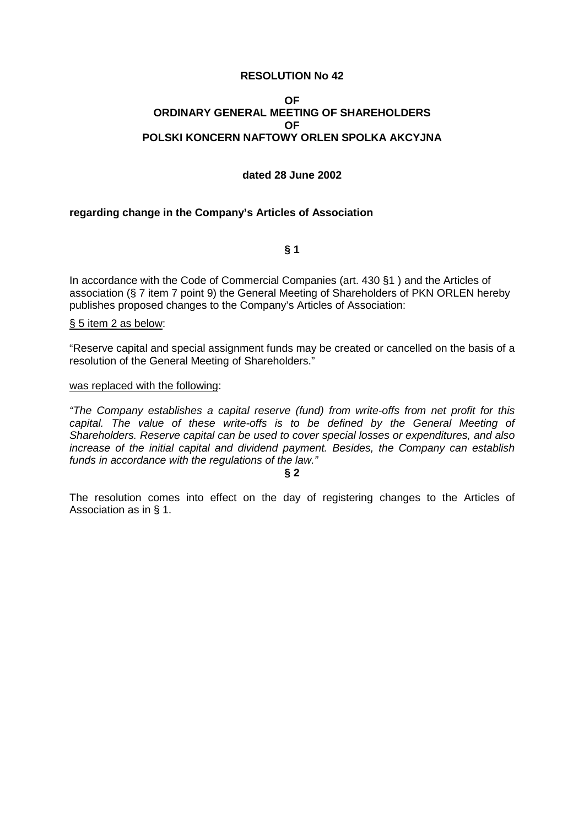## **OF ORDINARY GENERAL MEETING OF SHAREHOLDERS OF POLSKI KONCERN NAFTOWY ORLEN SPOLKA AKCYJNA**

## **dated 28 June 2002**

## **regarding change in the Company's Articles of Association**

**§ 1** 

In accordance with the Code of Commercial Companies (art. 430 §1 ) and the Articles of association (§ 7 item 7 point 9) the General Meeting of Shareholders of PKN ORLEN hereby publishes proposed changes to the Company's Articles of Association:

§ 5 item 2 as below:

"Reserve capital and special assignment funds may be created or cancelled on the basis of a resolution of the General Meeting of Shareholders."

#### was replaced with the following:

"The Company establishes a capital reserve (fund) from write-offs from net profit for this capital. The value of these write-offs is to be defined by the General Meeting of Shareholders. Reserve capital can be used to cover special losses or expenditures, and also increase of the initial capital and dividend payment. Besides, the Company can establish funds in accordance with the regulations of the law."

**§ 2**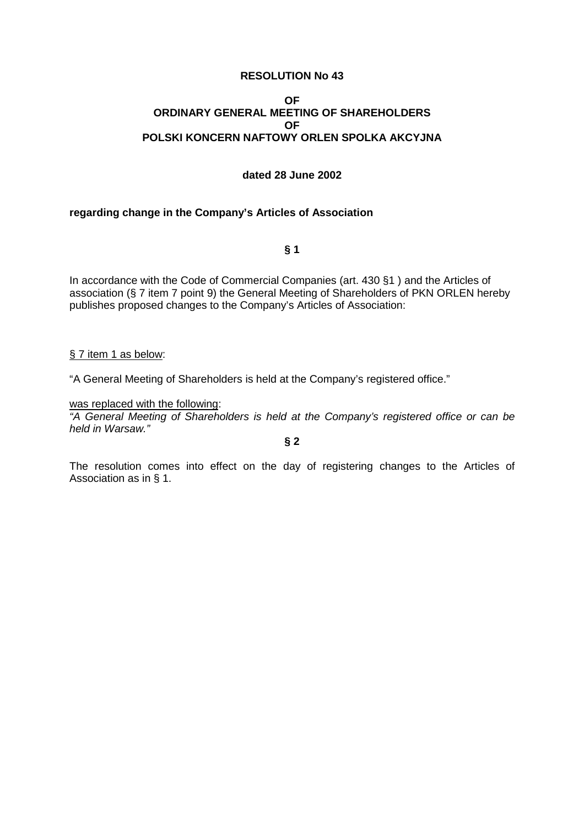## **OF ORDINARY GENERAL MEETING OF SHAREHOLDERS OF POLSKI KONCERN NAFTOWY ORLEN SPOLKA AKCYJNA**

## **dated 28 June 2002**

## **regarding change in the Company's Articles of Association**

**§ 1** 

In accordance with the Code of Commercial Companies (art. 430 §1 ) and the Articles of association (§ 7 item 7 point 9) the General Meeting of Shareholders of PKN ORLEN hereby publishes proposed changes to the Company's Articles of Association:

## § 7 item 1 as below:

"A General Meeting of Shareholders is held at the Company's registered office."

#### was replaced with the following:

"A General Meeting of Shareholders is held at the Company's registered office or can be held in Warsaw."

**§ 2**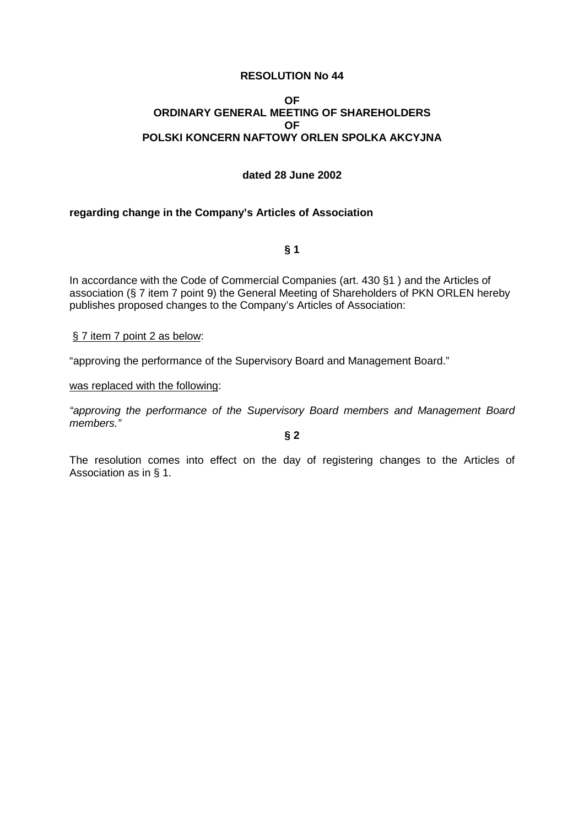## **OF ORDINARY GENERAL MEETING OF SHAREHOLDERS OF POLSKI KONCERN NAFTOWY ORLEN SPOLKA AKCYJNA**

## **dated 28 June 2002**

## **regarding change in the Company's Articles of Association**

**§ 1** 

In accordance with the Code of Commercial Companies (art. 430 §1 ) and the Articles of association (§ 7 item 7 point 9) the General Meeting of Shareholders of PKN ORLEN hereby publishes proposed changes to the Company's Articles of Association:

§ 7 item 7 point 2 as below:

"approving the performance of the Supervisory Board and Management Board."

was replaced with the following:

"approving the performance of the Supervisory Board members and Management Board members."

**§ 2**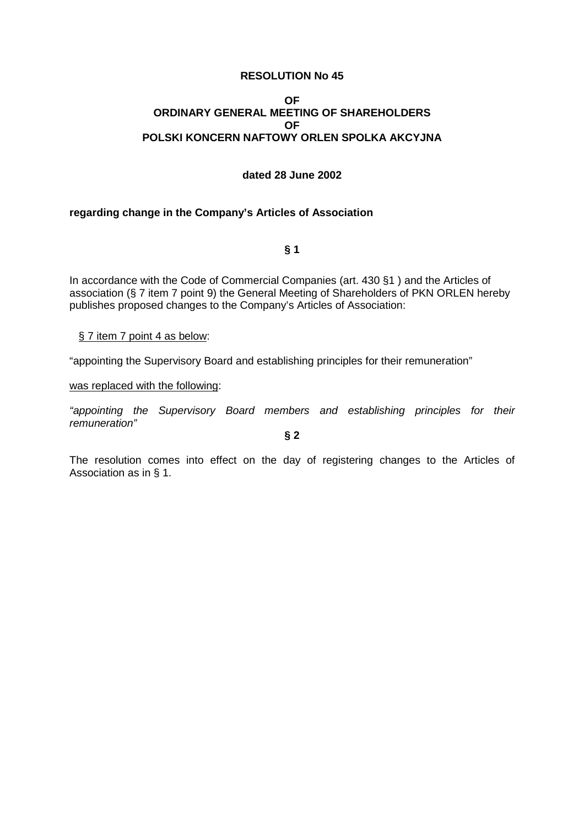## **OF ORDINARY GENERAL MEETING OF SHAREHOLDERS OF POLSKI KONCERN NAFTOWY ORLEN SPOLKA AKCYJNA**

## **dated 28 June 2002**

## **regarding change in the Company's Articles of Association**

**§ 1** 

In accordance with the Code of Commercial Companies (art. 430 §1 ) and the Articles of association (§ 7 item 7 point 9) the General Meeting of Shareholders of PKN ORLEN hereby publishes proposed changes to the Company's Articles of Association:

§ 7 item 7 point 4 as below:

"appointing the Supervisory Board and establishing principles for their remuneration"

was replaced with the following:

"appointing the Supervisory Board members and establishing principles for their remuneration"

**§ 2**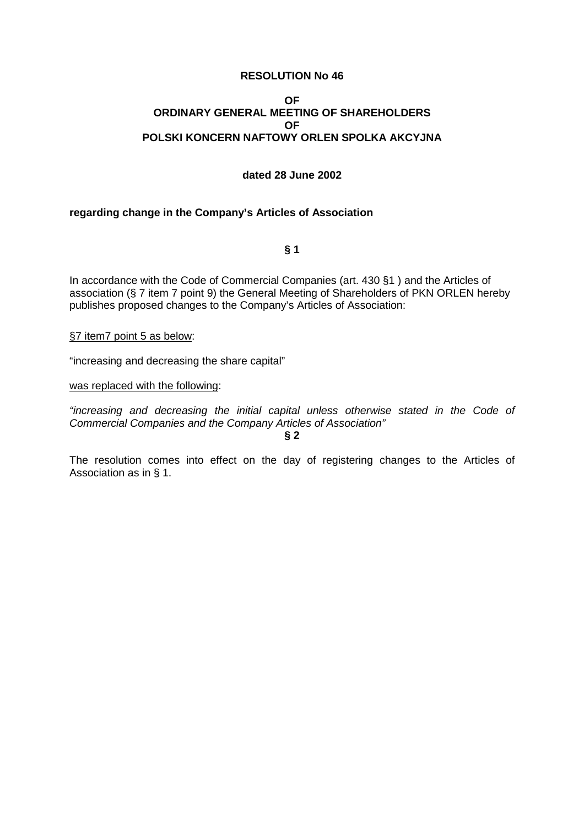## **OF ORDINARY GENERAL MEETING OF SHAREHOLDERS OF POLSKI KONCERN NAFTOWY ORLEN SPOLKA AKCYJNA**

## **dated 28 June 2002**

## **regarding change in the Company's Articles of Association**

**§ 1** 

In accordance with the Code of Commercial Companies (art. 430 §1 ) and the Articles of association (§ 7 item 7 point 9) the General Meeting of Shareholders of PKN ORLEN hereby publishes proposed changes to the Company's Articles of Association:

## §7 item7 point 5 as below:

"increasing and decreasing the share capital"

was replaced with the following:

"increasing and decreasing the initial capital unless otherwise stated in the Code of Commercial Companies and the Company Articles of Association" **§ 2**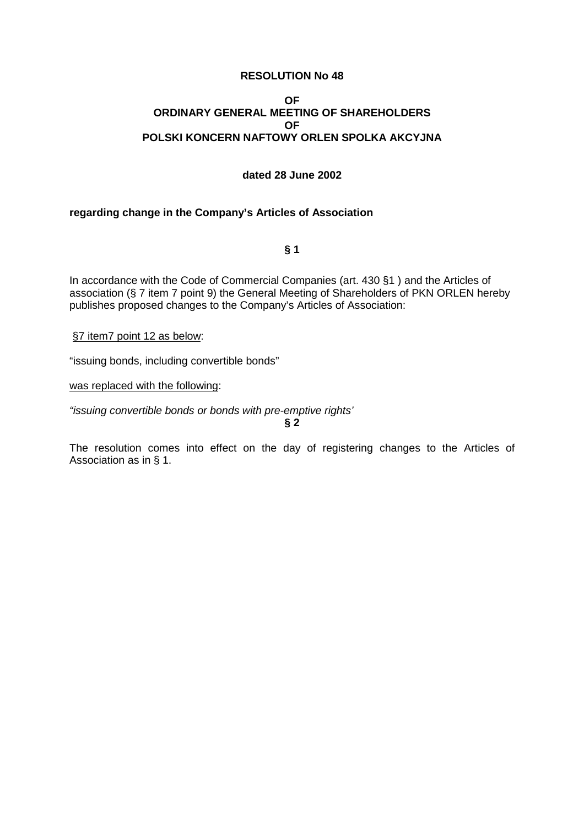## **OF ORDINARY GENERAL MEETING OF SHAREHOLDERS OF POLSKI KONCERN NAFTOWY ORLEN SPOLKA AKCYJNA**

## **dated 28 June 2002**

## **regarding change in the Company's Articles of Association**

**§ 1** 

In accordance with the Code of Commercial Companies (art. 430 §1 ) and the Articles of association (§ 7 item 7 point 9) the General Meeting of Shareholders of PKN ORLEN hereby publishes proposed changes to the Company's Articles of Association:

§7 item7 point 12 as below:

"issuing bonds, including convertible bonds"

was replaced with the following:

"issuing convertible bonds or bonds with pre-emptive rights'

**§ 2**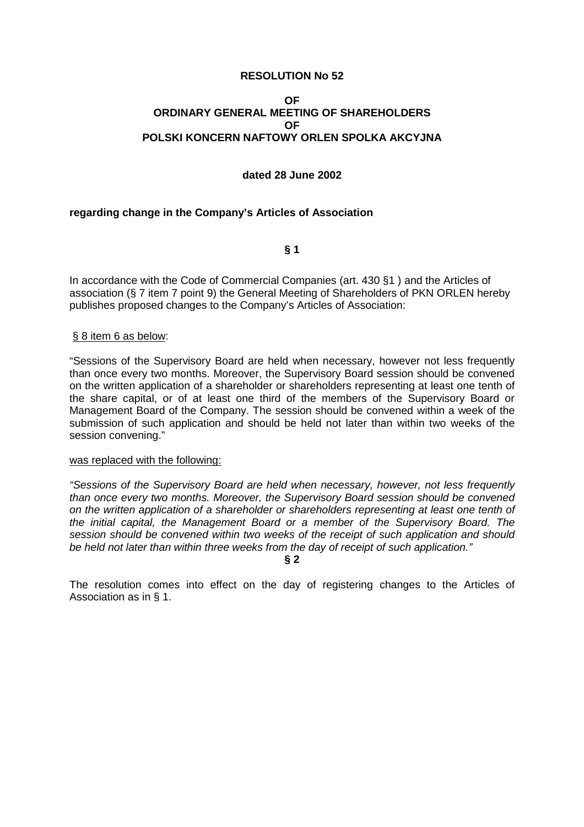## **OF ORDINARY GENERAL MEETING OF SHAREHOLDERS OF POLSKI KONCERN NAFTOWY ORLEN SPOLKA AKCYJNA**

## **dated 28 June 2002**

## **regarding change in the Company's Articles of Association**

**§ 1** 

In accordance with the Code of Commercial Companies (art. 430 §1 ) and the Articles of association (§ 7 item 7 point 9) the General Meeting of Shareholders of PKN ORLEN hereby publishes proposed changes to the Company's Articles of Association:

## § 8 item 6 as below:

"Sessions of the Supervisory Board are held when necessary, however not less frequently than once every two months. Moreover, the Supervisory Board session should be convened on the written application of a shareholder or shareholders representing at least one tenth of the share capital, or of at least one third of the members of the Supervisory Board or Management Board of the Company. The session should be convened within a week of the submission of such application and should be held not later than within two weeks of the session convening."

## was replaced with the following:

"Sessions of the Supervisory Board are held when necessary, however, not less frequently than once every two months. Moreover, the Supervisory Board session should be convened on the written application of a shareholder or shareholders representing at least one tenth of the initial capital, the Management Board or a member of the Supervisory Board. The session should be convened within two weeks of the receipt of such application and should be held not later than within three weeks from the day of receipt of such application."

**§ 2**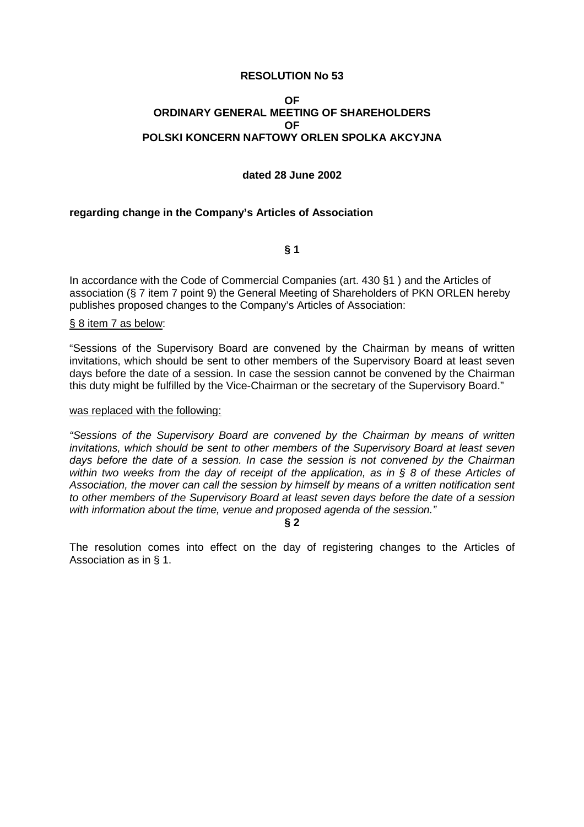## **OF ORDINARY GENERAL MEETING OF SHAREHOLDERS OF POLSKI KONCERN NAFTOWY ORLEN SPOLKA AKCYJNA**

## **dated 28 June 2002**

## **regarding change in the Company's Articles of Association**

**§ 1** 

In accordance with the Code of Commercial Companies (art. 430 §1 ) and the Articles of association (§ 7 item 7 point 9) the General Meeting of Shareholders of PKN ORLEN hereby publishes proposed changes to the Company's Articles of Association:

#### § 8 item 7 as below:

"Sessions of the Supervisory Board are convened by the Chairman by means of written invitations, which should be sent to other members of the Supervisory Board at least seven days before the date of a session. In case the session cannot be convened by the Chairman this duty might be fulfilled by the Vice-Chairman or the secretary of the Supervisory Board."

#### was replaced with the following:

"Sessions of the Supervisory Board are convened by the Chairman by means of written invitations, which should be sent to other members of the Supervisory Board at least seven days before the date of a session. In case the session is not convened by the Chairman within two weeks from the day of receipt of the application, as in  $\S$  8 of these Articles of Association, the mover can call the session by himself by means of a written notification sent to other members of the Supervisory Board at least seven days before the date of a session with information about the time, venue and proposed agenda of the session."

**§ 2**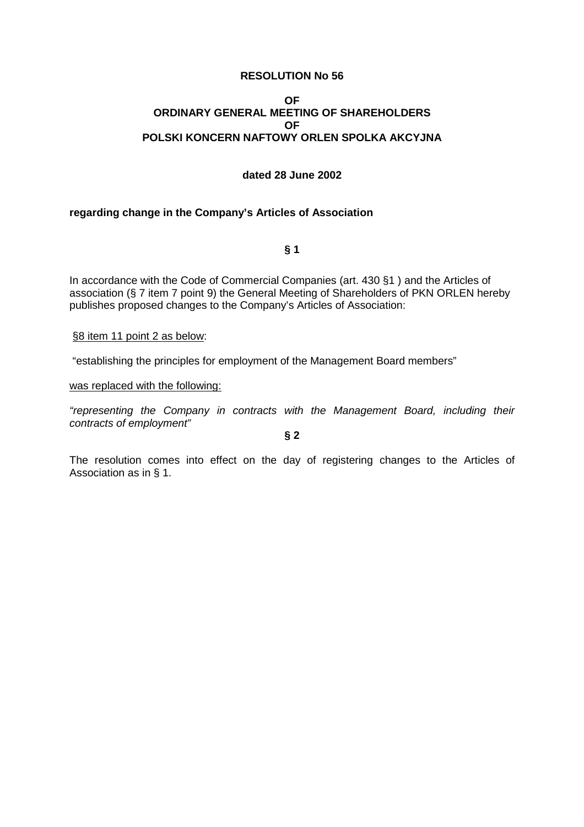## **OF ORDINARY GENERAL MEETING OF SHAREHOLDERS OF POLSKI KONCERN NAFTOWY ORLEN SPOLKA AKCYJNA**

## **dated 28 June 2002**

## **regarding change in the Company's Articles of Association**

**§ 1** 

In accordance with the Code of Commercial Companies (art. 430 §1 ) and the Articles of association (§ 7 item 7 point 9) the General Meeting of Shareholders of PKN ORLEN hereby publishes proposed changes to the Company's Articles of Association:

#### §8 item 11 point 2 as below:

"establishing the principles for employment of the Management Board members"

was replaced with the following:

"representing the Company in contracts with the Management Board, including their contracts of employment"

**§ 2**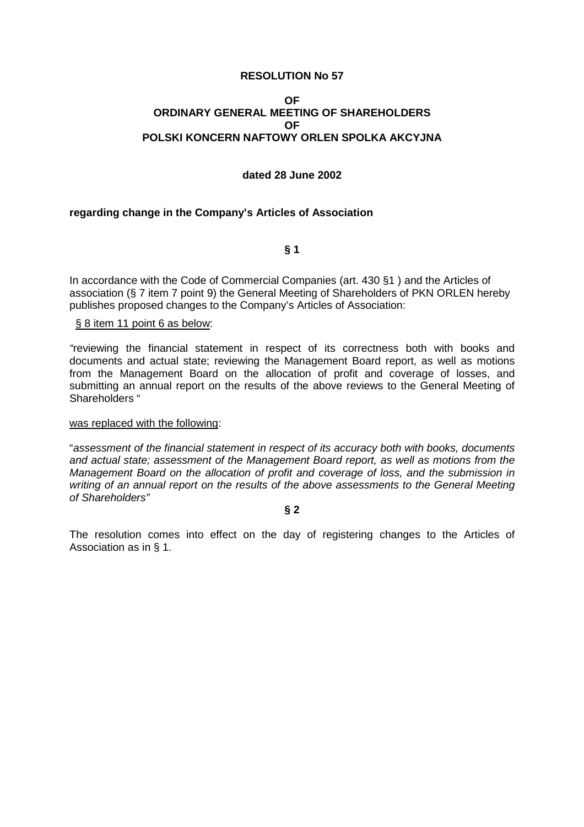## **OF ORDINARY GENERAL MEETING OF SHAREHOLDERS OF POLSKI KONCERN NAFTOWY ORLEN SPOLKA AKCYJNA**

## **dated 28 June 2002**

## **regarding change in the Company's Articles of Association**

**§ 1** 

In accordance with the Code of Commercial Companies (art. 430 §1 ) and the Articles of association (§ 7 item 7 point 9) the General Meeting of Shareholders of PKN ORLEN hereby publishes proposed changes to the Company's Articles of Association:

## § 8 item 11 point 6 as below:

"reviewing the financial statement in respect of its correctness both with books and documents and actual state; reviewing the Management Board report, as well as motions from the Management Board on the allocation of profit and coverage of losses, and submitting an annual report on the results of the above reviews to the General Meeting of Shareholders "

#### was replaced with the following:

"assessment of the financial statement in respect of its accuracy both with books, documents and actual state; assessment of the Management Board report, as well as motions from the Management Board on the allocation of profit and coverage of loss, and the submission in writing of an annual report on the results of the above assessments to the General Meeting of Shareholders"

#### **§ 2**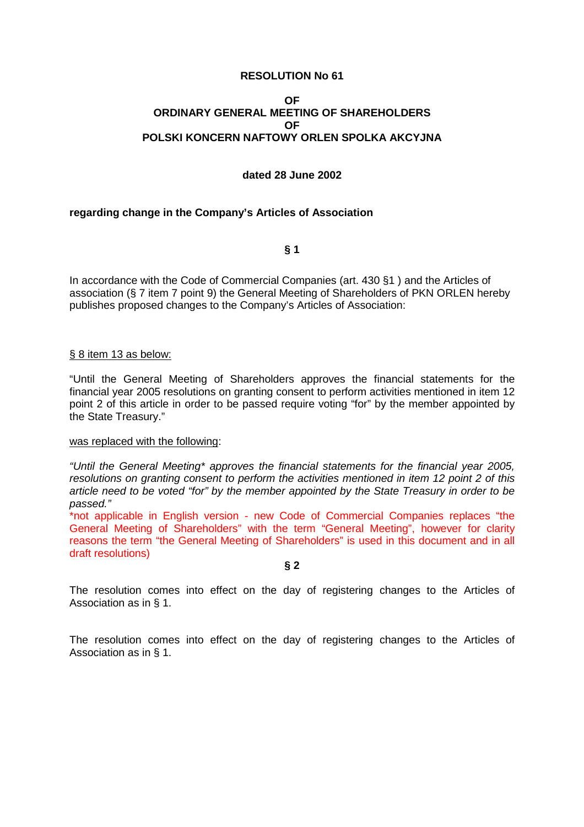## **OF ORDINARY GENERAL MEETING OF SHAREHOLDERS OF POLSKI KONCERN NAFTOWY ORLEN SPOLKA AKCYJNA**

## **dated 28 June 2002**

## **regarding change in the Company's Articles of Association**

**§ 1** 

In accordance with the Code of Commercial Companies (art. 430 §1 ) and the Articles of association (§ 7 item 7 point 9) the General Meeting of Shareholders of PKN ORLEN hereby publishes proposed changes to the Company's Articles of Association:

## § 8 item 13 as below:

"Until the General Meeting of Shareholders approves the financial statements for the financial year 2005 resolutions on granting consent to perform activities mentioned in item 12 point 2 of this article in order to be passed require voting "for" by the member appointed by the State Treasury."

## was replaced with the following:

"Until the General Meeting\* approves the financial statements for the financial year 2005, resolutions on granting consent to perform the activities mentioned in item 12 point 2 of this article need to be voted "for" by the member appointed by the State Treasury in order to be passed."

\*not applicable in English version - new Code of Commercial Companies replaces "the General Meeting of Shareholders" with the term "General Meeting", however for clarity reasons the term "the General Meeting of Shareholders" is used in this document and in all draft resolutions)

**§ 2** 

The resolution comes into effect on the day of registering changes to the Articles of Association as in § 1.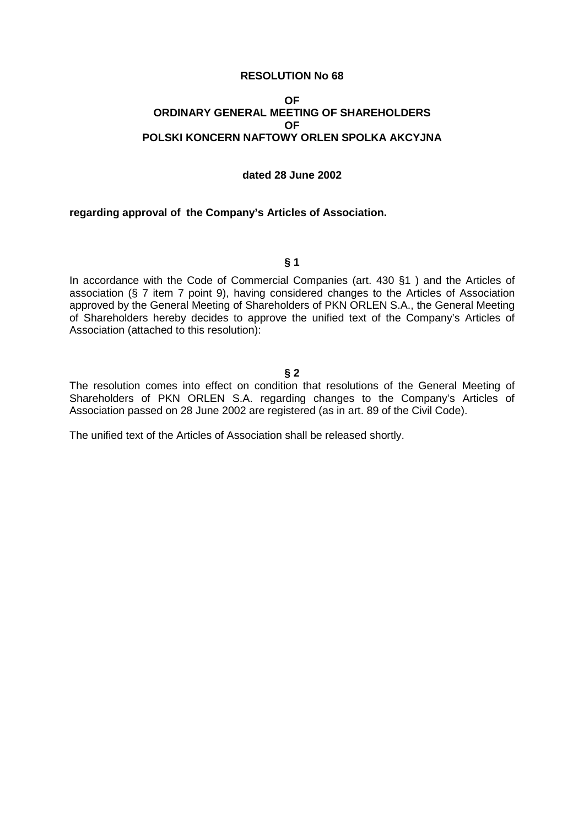## **OF ORDINARY GENERAL MEETING OF SHAREHOLDERS OF POLSKI KONCERN NAFTOWY ORLEN SPOLKA AKCYJNA**

## **dated 28 June 2002**

#### **regarding approval of the Company's Articles of Association.**

#### **§ 1**

In accordance with the Code of Commercial Companies (art. 430 §1 ) and the Articles of association (§ 7 item 7 point 9), having considered changes to the Articles of Association approved by the General Meeting of Shareholders of PKN ORLEN S.A., the General Meeting of Shareholders hereby decides to approve the unified text of the Company's Articles of Association (attached to this resolution):

## **§ 2**

The resolution comes into effect on condition that resolutions of the General Meeting of Shareholders of PKN ORLEN S.A. regarding changes to the Company's Articles of Association passed on 28 June 2002 are registered (as in art. 89 of the Civil Code).

The unified text of the Articles of Association shall be released shortly.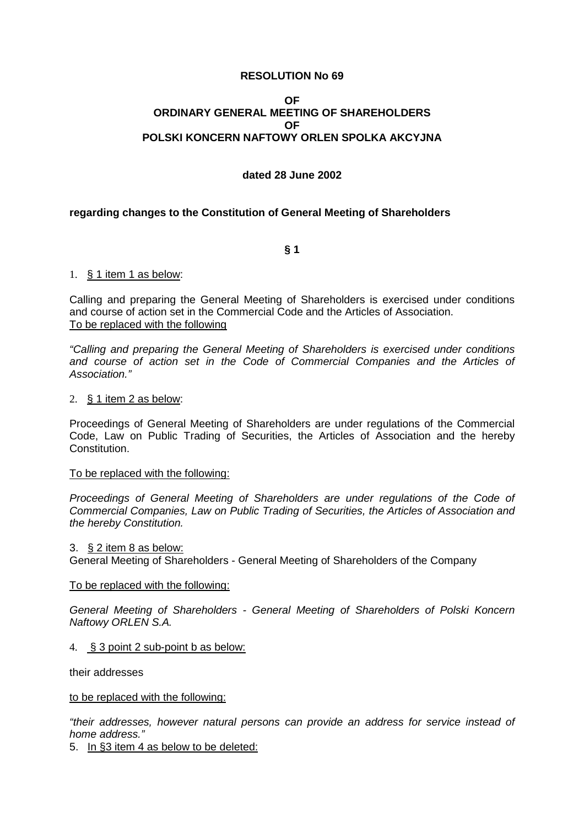## **OF ORDINARY GENERAL MEETING OF SHAREHOLDERS OF POLSKI KONCERN NAFTOWY ORLEN SPOLKA AKCYJNA**

## **dated 28 June 2002**

## **regarding changes to the Constitution of General Meeting of Shareholders**

**§ 1** 

## 1. § 1 item 1 as below:

Calling and preparing the General Meeting of Shareholders is exercised under conditions and course of action set in the Commercial Code and the Articles of Association. To be replaced with the following

"Calling and preparing the General Meeting of Shareholders is exercised under conditions and course of action set in the Code of Commercial Companies and the Articles of Association."

#### 2. § 1 item 2 as below:

Proceedings of General Meeting of Shareholders are under regulations of the Commercial Code, Law on Public Trading of Securities, the Articles of Association and the hereby **Constitution** 

## To be replaced with the following:

Proceedings of General Meeting of Shareholders are under regulations of the Code of Commercial Companies, Law on Public Trading of Securities, the Articles of Association and the hereby Constitution.

#### 3. § 2 item 8 as below:

General Meeting of Shareholders - General Meeting of Shareholders of the Company

## To be replaced with the following:

General Meeting of Shareholders - General Meeting of Shareholders of Polski Koncern Naftowy ORLEN S.A.

## 4. § 3 point 2 sub-point b as below:

their addresses

#### to be replaced with the following:

"their addresses, however natural persons can provide an address for service instead of home address."

5. In §3 item 4 as below to be deleted: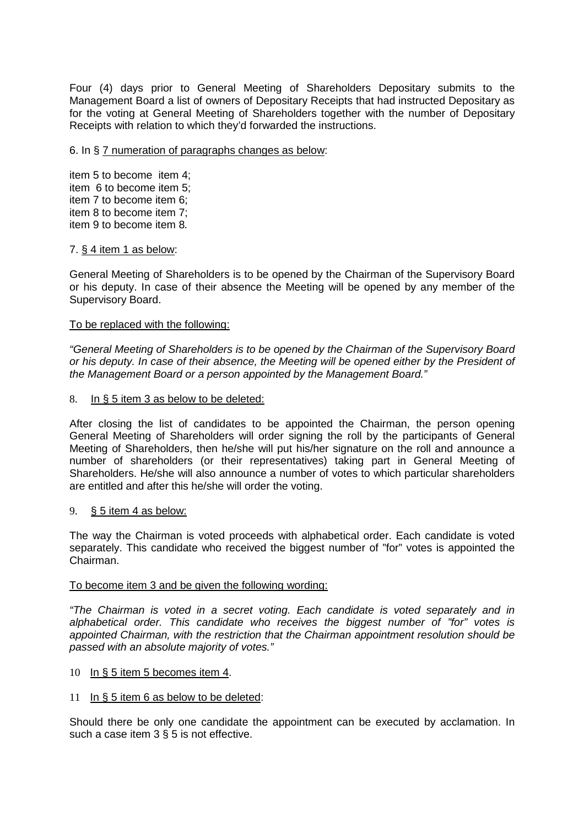Four (4) days prior to General Meeting of Shareholders Depositary submits to the Management Board a list of owners of Depositary Receipts that had instructed Depositary as for the voting at General Meeting of Shareholders together with the number of Depositary Receipts with relation to which they'd forwarded the instructions.

## 6. In § 7 numeration of paragraphs changes as below:

item 5 to become item 4; item 6 to become item 5; item 7 to become item 6; item 8 to become item 7; item 9 to become item 8.

## 7. § 4 item 1 as below:

General Meeting of Shareholders is to be opened by the Chairman of the Supervisory Board or his deputy. In case of their absence the Meeting will be opened by any member of the Supervisory Board.

## To be replaced with the following:

"General Meeting of Shareholders is to be opened by the Chairman of the Supervisory Board or his deputy. In case of their absence, the Meeting will be opened either by the President of the Management Board or a person appointed by the Management Board."

## 8. In § 5 item 3 as below to be deleted:

After closing the list of candidates to be appointed the Chairman, the person opening General Meeting of Shareholders will order signing the roll by the participants of General Meeting of Shareholders, then he/she will put his/her signature on the roll and announce a number of shareholders (or their representatives) taking part in General Meeting of Shareholders. He/she will also announce a number of votes to which particular shareholders are entitled and after this he/she will order the voting.

## 9. § 5 item 4 as below:

The way the Chairman is voted proceeds with alphabetical order. Each candidate is voted separately. This candidate who received the biggest number of "for" votes is appointed the Chairman.

## To become item 3 and be given the following wording:

"The Chairman is voted in a secret voting. Each candidate is voted separately and in alphabetical order. This candidate who receives the biggest number of "for" votes is appointed Chairman, with the restriction that the Chairman appointment resolution should be passed with an absolute majority of votes."

## 10 In § 5 item 5 becomes item 4.

# 11 In § 5 item 6 as below to be deleted:

Should there be only one candidate the appointment can be executed by acclamation. In such a case item 3 § 5 is not effective.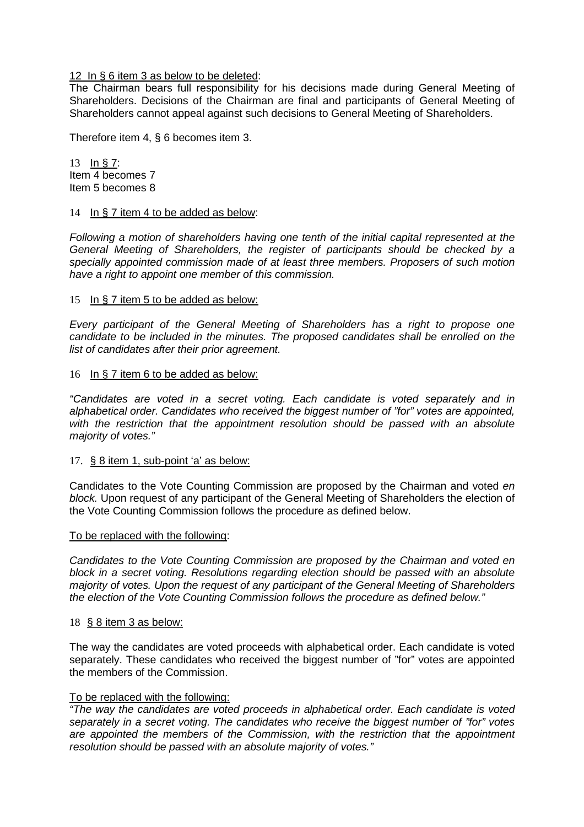12 In § 6 item 3 as below to be deleted:

The Chairman bears full responsibility for his decisions made during General Meeting of Shareholders. Decisions of the Chairman are final and participants of General Meeting of Shareholders cannot appeal against such decisions to General Meeting of Shareholders.

Therefore item 4, § 6 becomes item 3.

13 In § 7: Item 4 becomes 7 Item 5 becomes 8

## 14 In § 7 item 4 to be added as below:

Following a motion of shareholders having one tenth of the initial capital represented at the General Meeting of Shareholders, the register of participants should be checked by a specially appointed commission made of at least three members. Proposers of such motion have a right to appoint one member of this commission.

## 15 In § 7 item 5 to be added as below:

Every participant of the General Meeting of Shareholders has a right to propose one candidate to be included in the minutes. The proposed candidates shall be enrolled on the list of candidates after their prior agreement.

## 16 In § 7 item 6 to be added as below:

"Candidates are voted in a secret voting. Each candidate is voted separately and in alphabetical order. Candidates who received the biggest number of "for" votes are appointed, with the restriction that the appointment resolution should be passed with an absolute majority of votes."

## 17. § 8 item 1, sub-point 'a' as below:

Candidates to the Vote Counting Commission are proposed by the Chairman and voted en block. Upon request of any participant of the General Meeting of Shareholders the election of the Vote Counting Commission follows the procedure as defined below.

## To be replaced with the following:

Candidates to the Vote Counting Commission are proposed by the Chairman and voted en block in a secret voting. Resolutions regarding election should be passed with an absolute majority of votes. Upon the request of any participant of the General Meeting of Shareholders the election of the Vote Counting Commission follows the procedure as defined below."

## 18 § 8 item 3 as below:

The way the candidates are voted proceeds with alphabetical order. Each candidate is voted separately. These candidates who received the biggest number of "for" votes are appointed the members of the Commission.

# To be replaced with the following:

"The way the candidates are voted proceeds in alphabetical order. Each candidate is voted separately in a secret voting. The candidates who receive the biggest number of "for" votes are appointed the members of the Commission, with the restriction that the appointment resolution should be passed with an absolute majority of votes."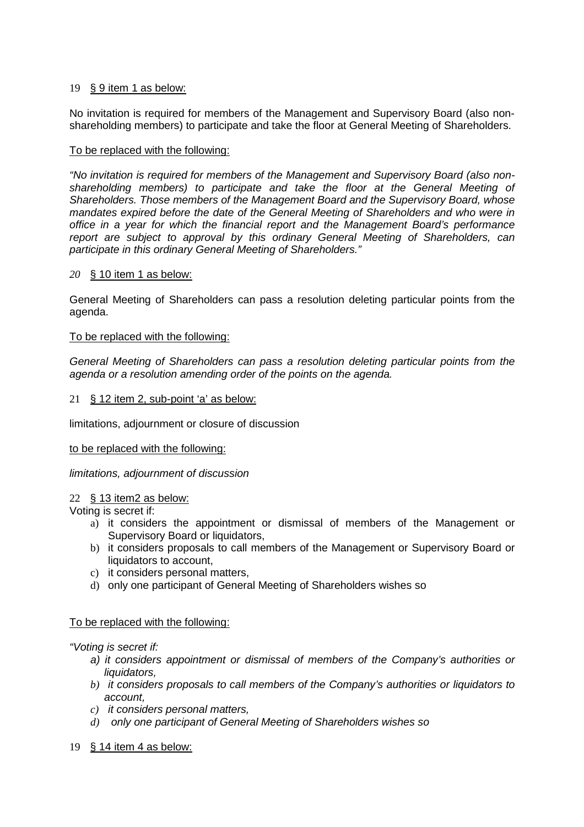# 19 § 9 item 1 as below:

No invitation is required for members of the Management and Supervisory Board (also nonshareholding members) to participate and take the floor at General Meeting of Shareholders.

# To be replaced with the following:

"No invitation is required for members of the Management and Supervisory Board (also nonshareholding members) to participate and take the floor at the General Meeting of Shareholders. Those members of the Management Board and the Supervisory Board, whose mandates expired before the date of the General Meeting of Shareholders and who were in office in a year for which the financial report and the Management Board's performance report are subject to approval by this ordinary General Meeting of Shareholders, can participate in this ordinary General Meeting of Shareholders."

# *20* § 10 item 1 as below:

General Meeting of Shareholders can pass a resolution deleting particular points from the agenda.

# To be replaced with the following:

General Meeting of Shareholders can pass a resolution deleting particular points from the agenda or a resolution amending order of the points on the agenda.

## 21 § 12 item 2, sub-point 'a' as below:

limitations, adjournment or closure of discussion

## to be replaced with the following:

## limitations, adjournment of discussion

# 22 § 13 item2 as below:

Voting is secret if:

- a) it considers the appointment or dismissal of members of the Management or Supervisory Board or liquidators,
- b) it considers proposals to call members of the Management or Supervisory Board or liquidators to account,
- c) it considers personal matters,
- d) only one participant of General Meeting of Shareholders wishes so

# To be replaced with the following:

## "Voting is secret if:

- a) it considers appointment or dismissal of members of the Company's authorities or liquidators.
- *b)* it considers proposals to call members of the Company's authorities or liquidators to account,
- *c)* it considers personal matters,
- *d)* only one participant of General Meeting of Shareholders wishes so
- 19 § 14 item 4 as below: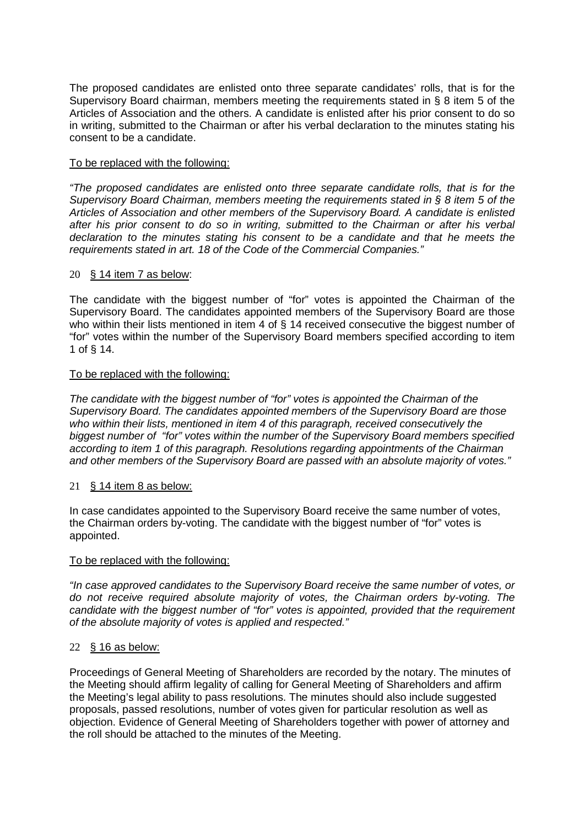The proposed candidates are enlisted onto three separate candidates' rolls, that is for the Supervisory Board chairman, members meeting the requirements stated in § 8 item 5 of the Articles of Association and the others. A candidate is enlisted after his prior consent to do so in writing, submitted to the Chairman or after his verbal declaration to the minutes stating his consent to be a candidate.

# To be replaced with the following:

"The proposed candidates are enlisted onto three separate candidate rolls, that is for the Supervisory Board Chairman, members meeting the requirements stated in § 8 item 5 of the Articles of Association and other members of the Supervisory Board. A candidate is enlisted after his prior consent to do so in writing, submitted to the Chairman or after his verbal declaration to the minutes stating his consent to be a candidate and that he meets the requirements stated in art. 18 of the Code of the Commercial Companies."

## 20 § 14 item 7 as below:

The candidate with the biggest number of "for" votes is appointed the Chairman of the Supervisory Board. The candidates appointed members of the Supervisory Board are those who within their lists mentioned in item 4 of § 14 received consecutive the biggest number of "for" votes within the number of the Supervisory Board members specified according to item 1 of § 14.

## To be replaced with the following:

The candidate with the biggest number of "for" votes is appointed the Chairman of the Supervisory Board. The candidates appointed members of the Supervisory Board are those who within their lists, mentioned in item 4 of this paragraph, received consecutively the biggest number of "for" votes within the number of the Supervisory Board members specified according to item 1 of this paragraph. Resolutions regarding appointments of the Chairman and other members of the Supervisory Board are passed with an absolute majority of votes."

# 21 § 14 item 8 as below:

In case candidates appointed to the Supervisory Board receive the same number of votes, the Chairman orders by-voting. The candidate with the biggest number of "for" votes is appointed.

## To be replaced with the following:

"In case approved candidates to the Supervisory Board receive the same number of votes, or do not receive required absolute majority of votes, the Chairman orders by-voting. The candidate with the biggest number of "for" votes is appointed, provided that the requirement of the absolute majority of votes is applied and respected."

## 22 § 16 as below:

Proceedings of General Meeting of Shareholders are recorded by the notary. The minutes of the Meeting should affirm legality of calling for General Meeting of Shareholders and affirm the Meeting's legal ability to pass resolutions. The minutes should also include suggested proposals, passed resolutions, number of votes given for particular resolution as well as objection. Evidence of General Meeting of Shareholders together with power of attorney and the roll should be attached to the minutes of the Meeting.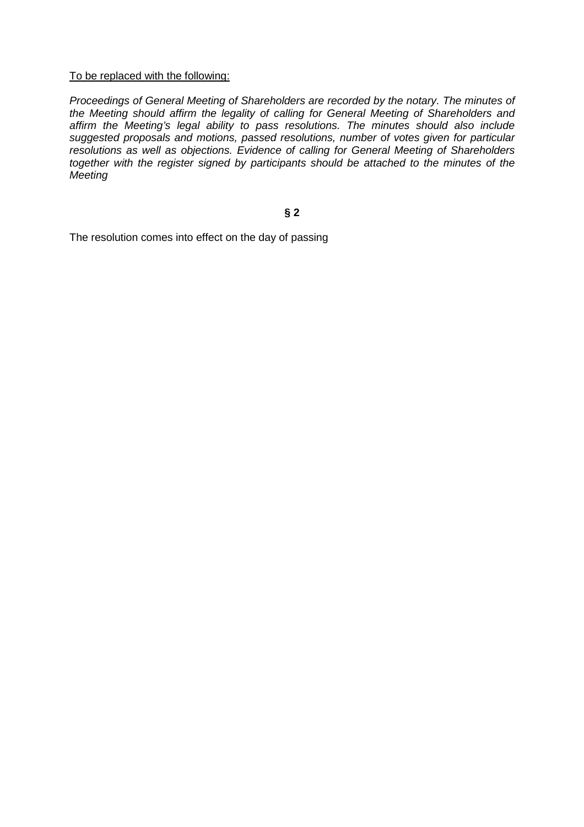## To be replaced with the following:

Proceedings of General Meeting of Shareholders are recorded by the notary. The minutes of the Meeting should affirm the legality of calling for General Meeting of Shareholders and affirm the Meeting's legal ability to pass resolutions. The minutes should also include suggested proposals and motions, passed resolutions, number of votes given for particular resolutions as well as objections. Evidence of calling for General Meeting of Shareholders together with the register signed by participants should be attached to the minutes of the **Meeting** 

# **§ 2**

The resolution comes into effect on the day of passing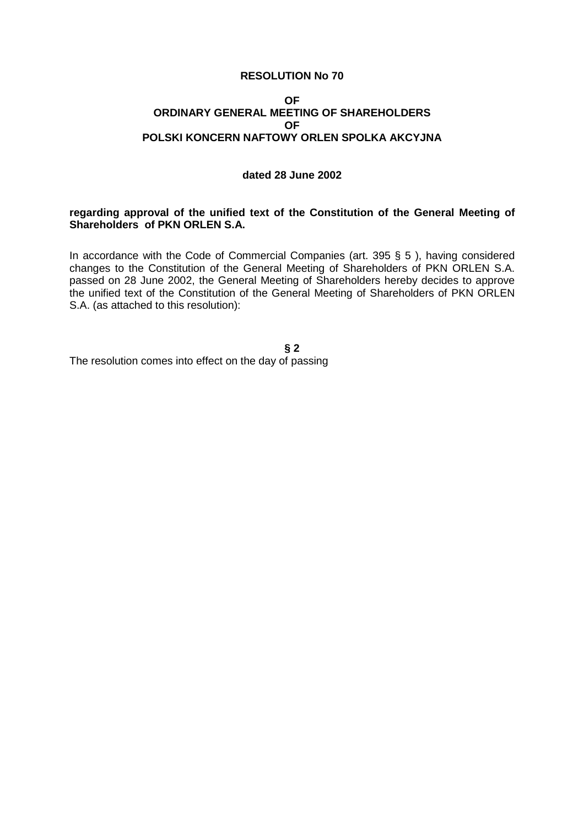#### **OF ORDINARY GENERAL MEETING OF SHAREHOLDERS OF POLSKI KONCERN NAFTOWY ORLEN SPOLKA AKCYJNA**

# **dated 28 June 2002**

## **regarding approval of the unified text of the Constitution of the General Meeting of Shareholders of PKN ORLEN S.A.**

In accordance with the Code of Commercial Companies (art. 395 § 5 ), having considered changes to the Constitution of the General Meeting of Shareholders of PKN ORLEN S.A. passed on 28 June 2002, the General Meeting of Shareholders hereby decides to approve the unified text of the Constitution of the General Meeting of Shareholders of PKN ORLEN S.A. (as attached to this resolution):

**§ 2**  The resolution comes into effect on the day of passing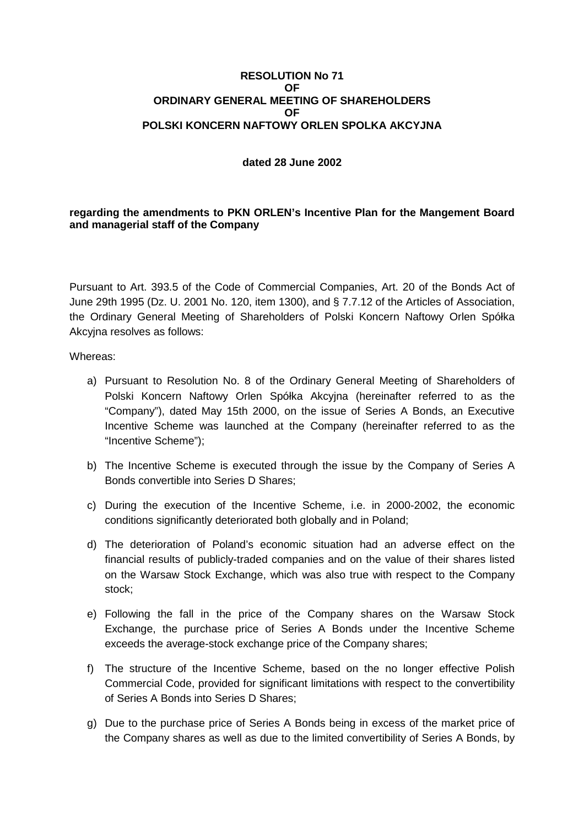## **RESOLUTION No 71 OF ORDINARY GENERAL MEETING OF SHAREHOLDERS OF POLSKI KONCERN NAFTOWY ORLEN SPOLKA AKCYJNA**

# **dated 28 June 2002**

**regarding the amendments to PKN ORLEN's Incentive Plan for the Mangement Board and managerial staff of the Company** 

Pursuant to Art. 393.5 of the Code of Commercial Companies, Art. 20 of the Bonds Act of June 29th 1995 (Dz. U. 2001 No. 120, item 1300), and § 7.7.12 of the Articles of Association, the Ordinary General Meeting of Shareholders of Polski Koncern Naftowy Orlen Spółka Akcyina resolves as follows:

Whereas:

- a) Pursuant to Resolution No. 8 of the Ordinary General Meeting of Shareholders of Polski Koncern Naftowy Orlen Spółka Akcyjna (hereinafter referred to as the "Company"), dated May 15th 2000, on the issue of Series A Bonds, an Executive Incentive Scheme was launched at the Company (hereinafter referred to as the "Incentive Scheme");
- b) The Incentive Scheme is executed through the issue by the Company of Series A Bonds convertible into Series D Shares;
- c) During the execution of the Incentive Scheme, i.e. in 2000-2002, the economic conditions significantly deteriorated both globally and in Poland;
- d) The deterioration of Poland's economic situation had an adverse effect on the financial results of publicly-traded companies and on the value of their shares listed on the Warsaw Stock Exchange, which was also true with respect to the Company stock;
- e) Following the fall in the price of the Company shares on the Warsaw Stock Exchange, the purchase price of Series A Bonds under the Incentive Scheme exceeds the average-stock exchange price of the Company shares;
- f) The structure of the Incentive Scheme, based on the no longer effective Polish Commercial Code, provided for significant limitations with respect to the convertibility of Series A Bonds into Series D Shares;
- g) Due to the purchase price of Series A Bonds being in excess of the market price of the Company shares as well as due to the limited convertibility of Series A Bonds, by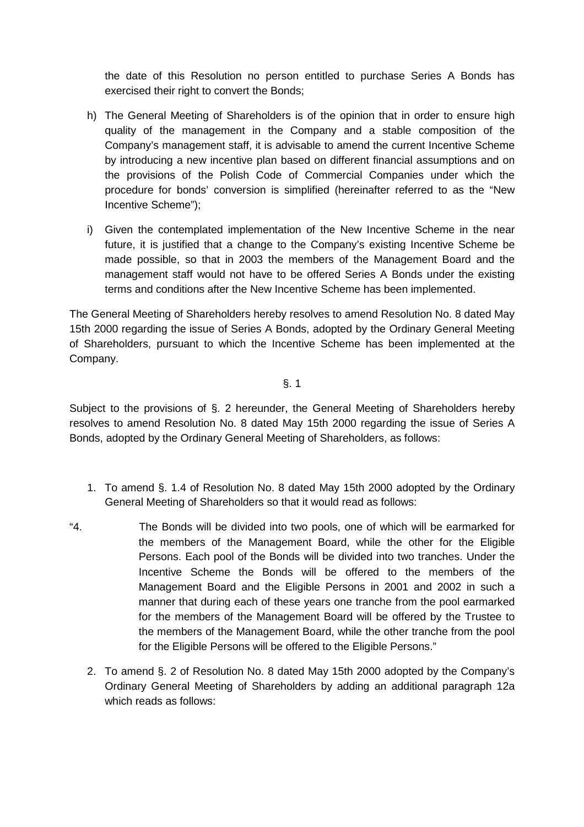the date of this Resolution no person entitled to purchase Series A Bonds has exercised their right to convert the Bonds;

- h) The General Meeting of Shareholders is of the opinion that in order to ensure high quality of the management in the Company and a stable composition of the Company's management staff, it is advisable to amend the current Incentive Scheme by introducing a new incentive plan based on different financial assumptions and on the provisions of the Polish Code of Commercial Companies under which the procedure for bonds' conversion is simplified (hereinafter referred to as the "New Incentive Scheme");
- i) Given the contemplated implementation of the New Incentive Scheme in the near future, it is justified that a change to the Company's existing Incentive Scheme be made possible, so that in 2003 the members of the Management Board and the management staff would not have to be offered Series A Bonds under the existing terms and conditions after the New Incentive Scheme has been implemented.

The General Meeting of Shareholders hereby resolves to amend Resolution No. 8 dated May 15th 2000 regarding the issue of Series A Bonds, adopted by the Ordinary General Meeting of Shareholders, pursuant to which the Incentive Scheme has been implemented at the Company.

§. 1

Subject to the provisions of §. 2 hereunder, the General Meeting of Shareholders hereby resolves to amend Resolution No. 8 dated May 15th 2000 regarding the issue of Series A Bonds, adopted by the Ordinary General Meeting of Shareholders, as follows:

- 1. To amend §. 1.4 of Resolution No. 8 dated May 15th 2000 adopted by the Ordinary General Meeting of Shareholders so that it would read as follows:
- "4. The Bonds will be divided into two pools, one of which will be earmarked for the members of the Management Board, while the other for the Eligible Persons. Each pool of the Bonds will be divided into two tranches. Under the Incentive Scheme the Bonds will be offered to the members of the Management Board and the Eligible Persons in 2001 and 2002 in such a manner that during each of these years one tranche from the pool earmarked for the members of the Management Board will be offered by the Trustee to the members of the Management Board, while the other tranche from the pool for the Eligible Persons will be offered to the Eligible Persons."
	- 2. To amend §. 2 of Resolution No. 8 dated May 15th 2000 adopted by the Company's Ordinary General Meeting of Shareholders by adding an additional paragraph 12a which reads as follows: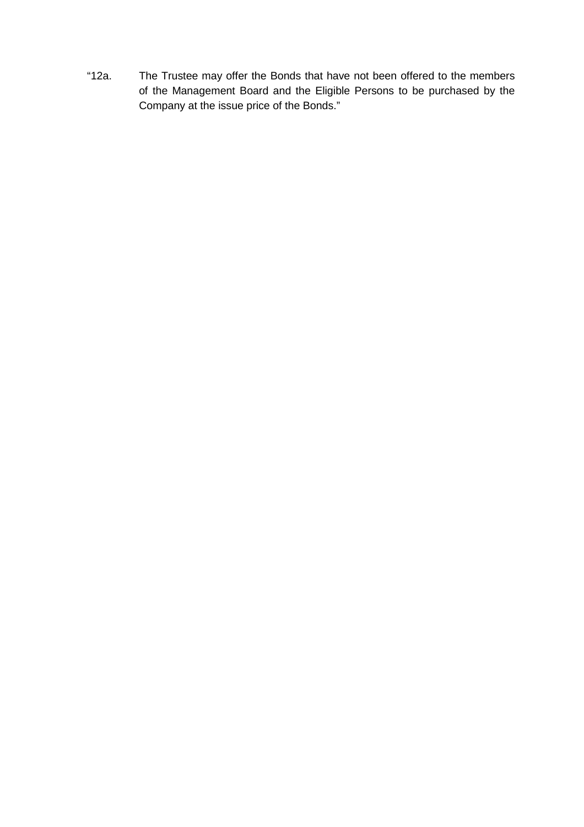"12a. The Trustee may offer the Bonds that have not been offered to the members of the Management Board and the Eligible Persons to be purchased by the Company at the issue price of the Bonds."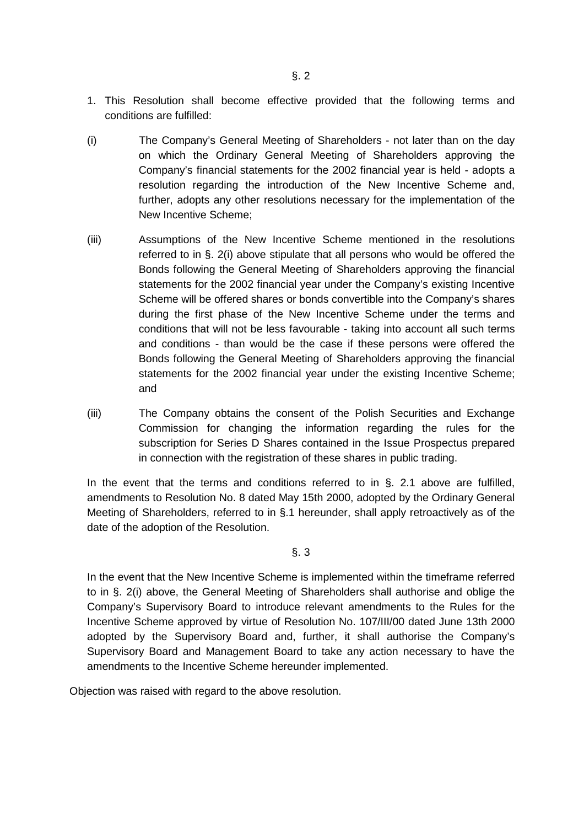- 1. This Resolution shall become effective provided that the following terms and conditions are fulfilled:
- (i) The Company's General Meeting of Shareholders not later than on the day on which the Ordinary General Meeting of Shareholders approving the Company's financial statements for the 2002 financial year is held - adopts a resolution regarding the introduction of the New Incentive Scheme and, further, adopts any other resolutions necessary for the implementation of the New Incentive Scheme;
- (iii) Assumptions of the New Incentive Scheme mentioned in the resolutions referred to in §. 2(i) above stipulate that all persons who would be offered the Bonds following the General Meeting of Shareholders approving the financial statements for the 2002 financial year under the Company's existing Incentive Scheme will be offered shares or bonds convertible into the Company's shares during the first phase of the New Incentive Scheme under the terms and conditions that will not be less favourable - taking into account all such terms and conditions - than would be the case if these persons were offered the Bonds following the General Meeting of Shareholders approving the financial statements for the 2002 financial year under the existing Incentive Scheme; and
- (iii) The Company obtains the consent of the Polish Securities and Exchange Commission for changing the information regarding the rules for the subscription for Series D Shares contained in the Issue Prospectus prepared in connection with the registration of these shares in public trading.

In the event that the terms and conditions referred to in §. 2.1 above are fulfilled, amendments to Resolution No. 8 dated May 15th 2000, adopted by the Ordinary General Meeting of Shareholders, referred to in §.1 hereunder, shall apply retroactively as of the date of the adoption of the Resolution.

## §. 3

In the event that the New Incentive Scheme is implemented within the timeframe referred to in §. 2(i) above, the General Meeting of Shareholders shall authorise and oblige the Company's Supervisory Board to introduce relevant amendments to the Rules for the Incentive Scheme approved by virtue of Resolution No. 107/III/00 dated June 13th 2000 adopted by the Supervisory Board and, further, it shall authorise the Company's Supervisory Board and Management Board to take any action necessary to have the amendments to the Incentive Scheme hereunder implemented.

Objection was raised with regard to the above resolution.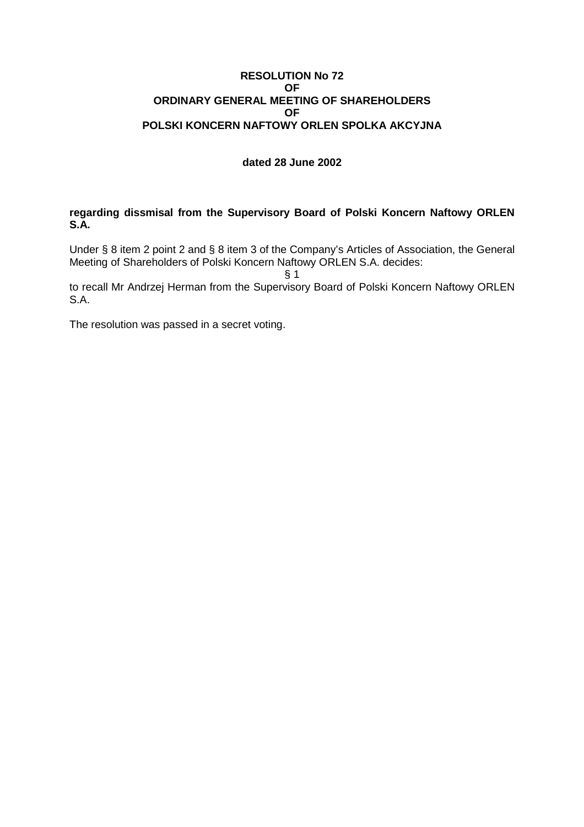## **RESOLUTION No 72 OF ORDINARY GENERAL MEETING OF SHAREHOLDERS OF POLSKI KONCERN NAFTOWY ORLEN SPOLKA AKCYJNA**

# **dated 28 June 2002**

**regarding dissmisal from the Supervisory Board of Polski Koncern Naftowy ORLEN S.A.** 

Under § 8 item 2 point 2 and § 8 item 3 of the Company's Articles of Association, the General Meeting of Shareholders of Polski Koncern Naftowy ORLEN S.A. decides:

 $§$  1

to recall Mr Andrzej Herman from the Supervisory Board of Polski Koncern Naftowy ORLEN S.A.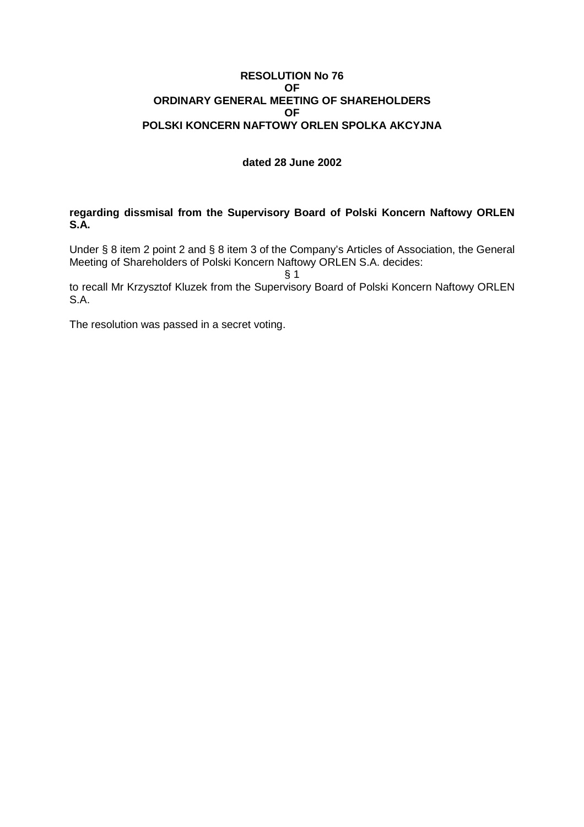## **RESOLUTION No 76 OF ORDINARY GENERAL MEETING OF SHAREHOLDERS OF POLSKI KONCERN NAFTOWY ORLEN SPOLKA AKCYJNA**

# **dated 28 June 2002**

**regarding dissmisal from the Supervisory Board of Polski Koncern Naftowy ORLEN S.A.** 

Under § 8 item 2 point 2 and § 8 item 3 of the Company's Articles of Association, the General Meeting of Shareholders of Polski Koncern Naftowy ORLEN S.A. decides:

 $§$  1

to recall Mr Krzysztof Kluzek from the Supervisory Board of Polski Koncern Naftowy ORLEN S.A.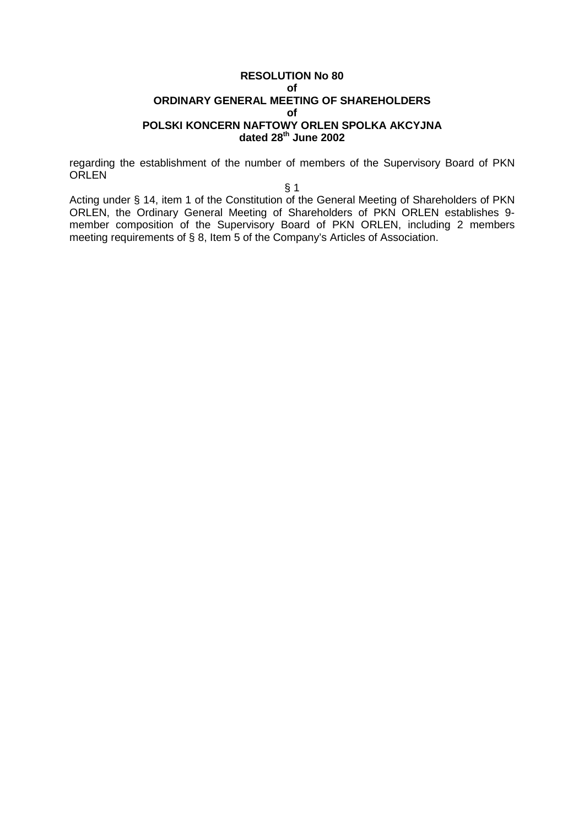## **RESOLUTION No 80 of ORDINARY GENERAL MEETING OF SHAREHOLDERS of POLSKI KONCERN NAFTOWY ORLEN SPOLKA AKCYJNA dated 28th June 2002**

regarding the establishment of the number of members of the Supervisory Board of PKN **ORLEN** 

§ 1

Acting under § 14, item 1 of the Constitution of the General Meeting of Shareholders of PKN ORLEN, the Ordinary General Meeting of Shareholders of PKN ORLEN establishes 9 member composition of the Supervisory Board of PKN ORLEN, including 2 members meeting requirements of § 8, Item 5 of the Company's Articles of Association.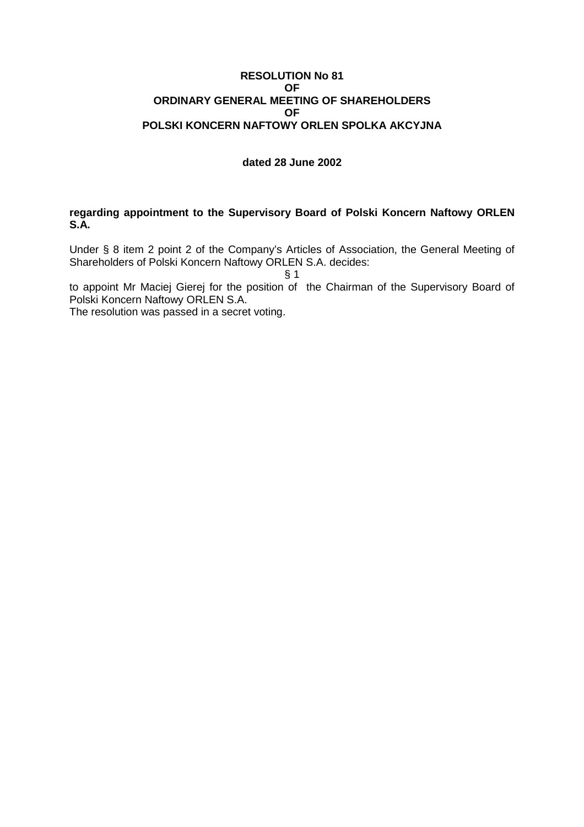## **RESOLUTION No 81 OF ORDINARY GENERAL MEETING OF SHAREHOLDERS OF POLSKI KONCERN NAFTOWY ORLEN SPOLKA AKCYJNA**

## **dated 28 June 2002**

## **regarding appointment to the Supervisory Board of Polski Koncern Naftowy ORLEN S.A.**

Under § 8 item 2 point 2 of the Company's Articles of Association, the General Meeting of Shareholders of Polski Koncern Naftowy ORLEN S.A. decides:

 $§ 1$ 

to appoint Mr Maciej Gierej for the position of the Chairman of the Supervisory Board of Polski Koncern Naftowy ORLEN S.A.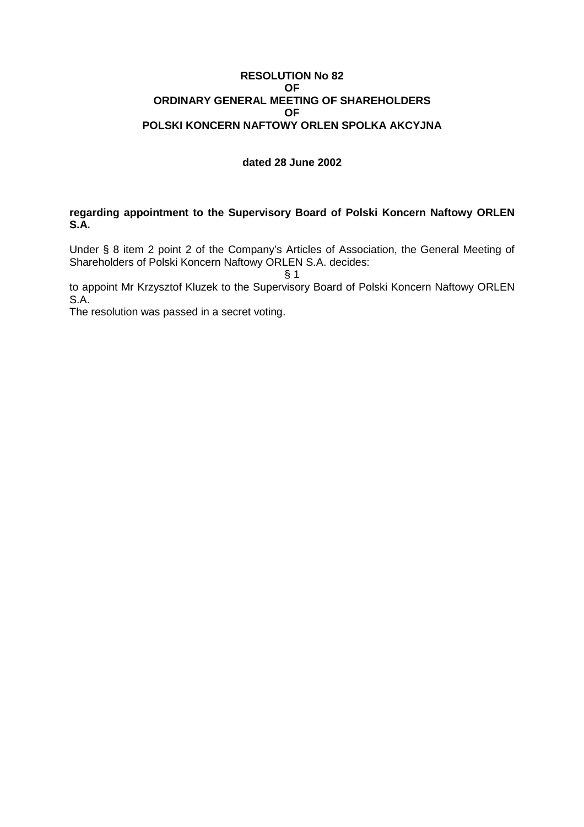## **RESOLUTION No 82 OF ORDINARY GENERAL MEETING OF SHAREHOLDERS OF POLSKI KONCERN NAFTOWY ORLEN SPOLKA AKCYJNA**

# **dated 28 June 2002**

## **regarding appointment to the Supervisory Board of Polski Koncern Naftowy ORLEN S.A.**

Under § 8 item 2 point 2 of the Company's Articles of Association, the General Meeting of Shareholders of Polski Koncern Naftowy ORLEN S.A. decides:

 $§$  1

to appoint Mr Krzysztof Kluzek to the Supervisory Board of Polski Koncern Naftowy ORLEN S.A.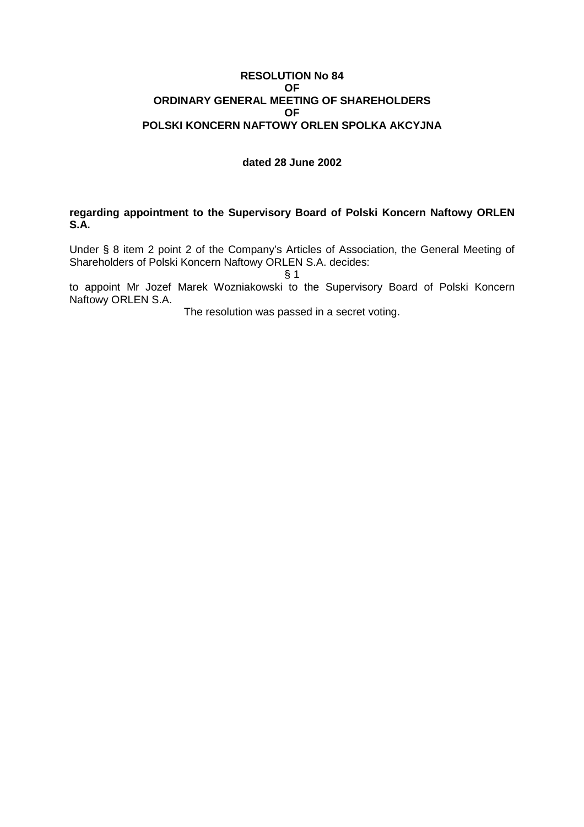## **RESOLUTION No 84 OF ORDINARY GENERAL MEETING OF SHAREHOLDERS OF POLSKI KONCERN NAFTOWY ORLEN SPOLKA AKCYJNA**

## **dated 28 June 2002**

**regarding appointment to the Supervisory Board of Polski Koncern Naftowy ORLEN S.A.** 

Under § 8 item 2 point 2 of the Company's Articles of Association, the General Meeting of Shareholders of Polski Koncern Naftowy ORLEN S.A. decides:

 $§ 1$ 

to appoint Mr Jozef Marek Wozniakowski to the Supervisory Board of Polski Koncern Naftowy ORLEN S.A.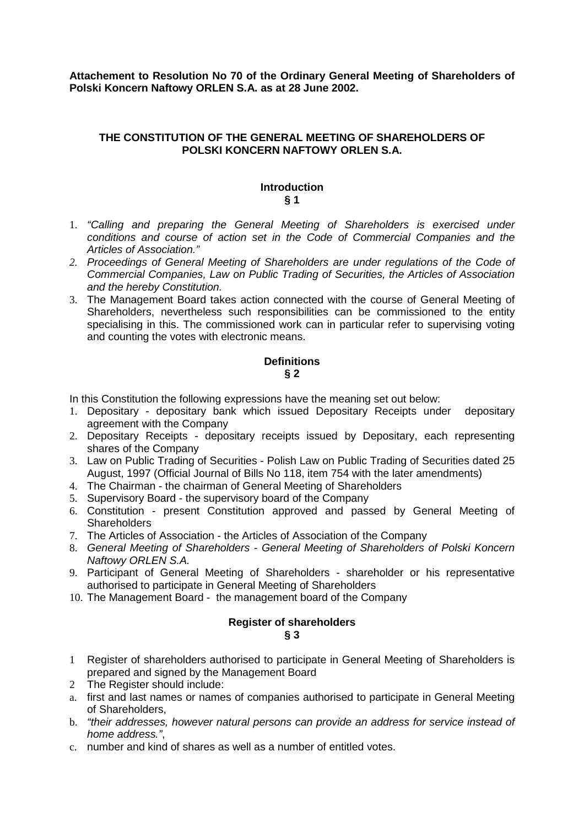**Attachement to Resolution No 70 of the Ordinary General Meeting of Shareholders of Polski Koncern Naftowy ORLEN S.A. as at 28 June 2002.** 

## **THE CONSTITUTION OF THE GENERAL MEETING OF SHAREHOLDERS OF POLSKI KONCERN NAFTOWY ORLEN S.A.**

# **Introduction § 1**

- 1. "Calling and preparing the General Meeting of Shareholders is exercised under conditions and course of action set in the Code of Commercial Companies and the Articles of Association."
- *2.* Proceedings of General Meeting of Shareholders are under regulations of the Code of Commercial Companies, Law on Public Trading of Securities, the Articles of Association and the hereby Constitution.
- 3. The Management Board takes action connected with the course of General Meeting of Shareholders, nevertheless such responsibilities can be commissioned to the entity specialising in this. The commissioned work can in particular refer to supervising voting and counting the votes with electronic means.

# **Definitions § 2**

In this Constitution the following expressions have the meaning set out below:

- 1. Depositary depositary bank which issued Depositary Receipts under depositary agreement with the Company
- 2. Depositary Receipts depositary receipts issued by Depositary, each representing shares of the Company
- 3. Law on Public Trading of Securities Polish Law on Public Trading of Securities dated 25 August, 1997 (Official Journal of Bills No 118, item 754 with the later amendments)
- 4. The Chairman the chairman of General Meeting of Shareholders
- 5. Supervisory Board the supervisory board of the Company
- 6. Constitution present Constitution approved and passed by General Meeting of **Shareholders**
- 7. The Articles of Association the Articles of Association of the Company
- 8. General Meeting of Shareholders General Meeting of Shareholders of Polski Koncern Naftowy ORLEN S.A.
- 9. Participant of General Meeting of Shareholders shareholder or his representative authorised to participate in General Meeting of Shareholders
- 10. The Management Board the management board of the Company

## **Register of shareholders § 3**

- 1 Register of shareholders authorised to participate in General Meeting of Shareholders is prepared and signed by the Management Board
- 2 The Register should include:
- a. first and last names or names of companies authorised to participate in General Meeting of Shareholders,
- b. "their addresses, however natural persons can provide an address for service instead of home address.",
- c. number and kind of shares as well as a number of entitled votes.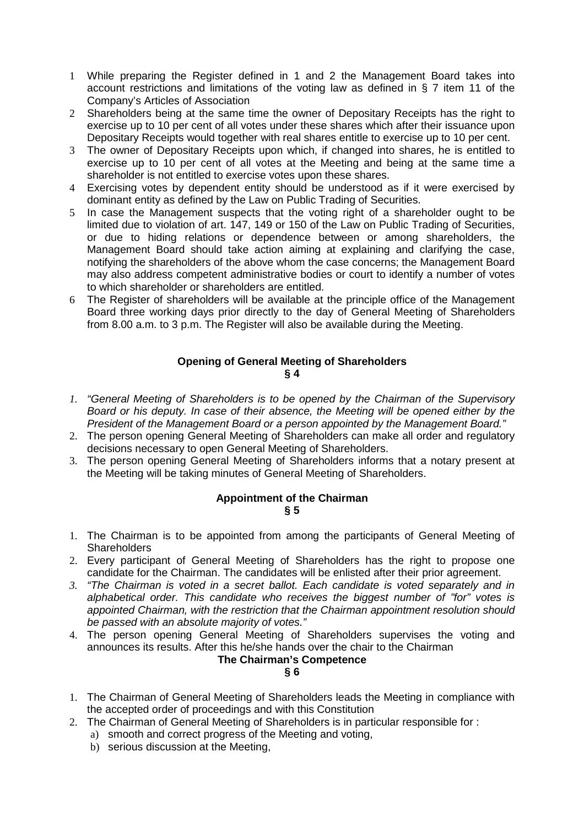- 1 While preparing the Register defined in 1 and 2 the Management Board takes into account restrictions and limitations of the voting law as defined in  $\S$  7 item 11 of the Company's Articles of Association
- 2 Shareholders being at the same time the owner of Depositary Receipts has the right to exercise up to 10 per cent of all votes under these shares which after their issuance upon Depositary Receipts would together with real shares entitle to exercise up to 10 per cent.
- 3 The owner of Depositary Receipts upon which, if changed into shares, he is entitled to exercise up to 10 per cent of all votes at the Meeting and being at the same time a shareholder is not entitled to exercise votes upon these shares.
- 4 Exercising votes by dependent entity should be understood as if it were exercised by dominant entity as defined by the Law on Public Trading of Securities.
- 5 In case the Management suspects that the voting right of a shareholder ought to be limited due to violation of art. 147, 149 or 150 of the Law on Public Trading of Securities, or due to hiding relations or dependence between or among shareholders, the Management Board should take action aiming at explaining and clarifying the case, notifying the shareholders of the above whom the case concerns; the Management Board may also address competent administrative bodies or court to identify a number of votes to which shareholder or shareholders are entitled.
- 6 The Register of shareholders will be available at the principle office of the Management Board three working days prior directly to the day of General Meeting of Shareholders from 8.00 a.m. to 3 p.m. The Register will also be available during the Meeting.

# **Opening of General Meeting of Shareholders § 4**

- *1.* "General Meeting of Shareholders is to be opened by the Chairman of the Supervisory Board or his deputy. In case of their absence, the Meeting will be opened either by the President of the Management Board or a person appointed by the Management Board."
- 2. The person opening General Meeting of Shareholders can make all order and regulatory decisions necessary to open General Meeting of Shareholders.
- 3. The person opening General Meeting of Shareholders informs that a notary present at the Meeting will be taking minutes of General Meeting of Shareholders.

# **Appointment of the Chairman**

# **§ 5**

- 1. The Chairman is to be appointed from among the participants of General Meeting of **Shareholders**
- 2. Every participant of General Meeting of Shareholders has the right to propose one candidate for the Chairman. The candidates will be enlisted after their prior agreement.
- *3.* "The Chairman is voted in a secret ballot. Each candidate is voted separately and in alphabetical order. This candidate who receives the biggest number of "for" votes is appointed Chairman, with the restriction that the Chairman appointment resolution should be passed with an absolute majority of votes."
- 4. The person opening General Meeting of Shareholders supervises the voting and announces its results. After this he/she hands over the chair to the Chairman

# **The Chairman's Competence**

# **§ 6**

- 1. The Chairman of General Meeting of Shareholders leads the Meeting in compliance with the accepted order of proceedings and with this Constitution
- 2. The Chairman of General Meeting of Shareholders is in particular responsible for :
	- a) smooth and correct progress of the Meeting and voting,
	- b) serious discussion at the Meeting,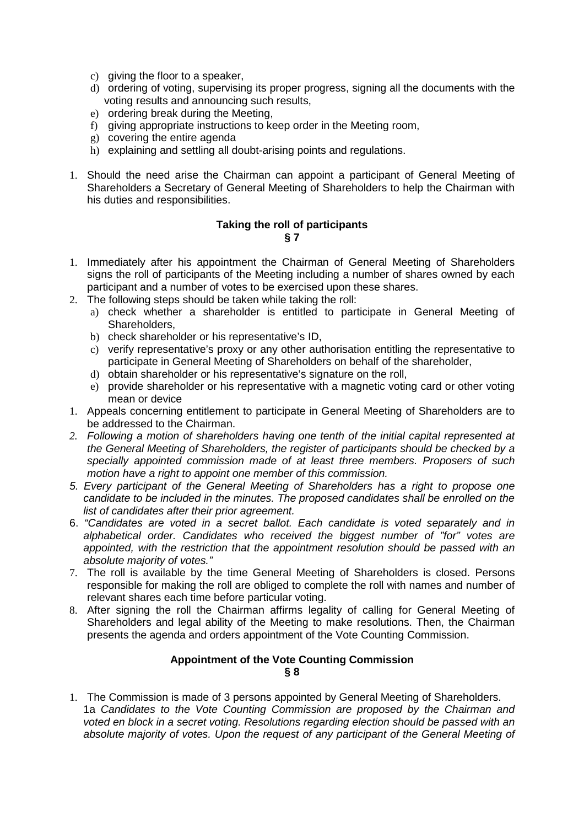- c) giving the floor to a speaker,
- d) ordering of voting, supervising its proper progress, signing all the documents with the voting results and announcing such results,
- e) ordering break during the Meeting,
- f) giving appropriate instructions to keep order in the Meeting room,
- g) covering the entire agenda
- h) explaining and settling all doubt-arising points and regulations.
- 1. Should the need arise the Chairman can appoint a participant of General Meeting of Shareholders a Secretary of General Meeting of Shareholders to help the Chairman with his duties and responsibilities.

## **Taking the roll of participants § 7**

- 1. Immediately after his appointment the Chairman of General Meeting of Shareholders signs the roll of participants of the Meeting including a number of shares owned by each participant and a number of votes to be exercised upon these shares.
- 2. The following steps should be taken while taking the roll:
	- a) check whether a shareholder is entitled to participate in General Meeting of Shareholders,
	- b) check shareholder or his representative's ID,
	- c) verify representative's proxy or any other authorisation entitling the representative to participate in General Meeting of Shareholders on behalf of the shareholder,
	- d) obtain shareholder or his representative's signature on the roll,
	- e) provide shareholder or his representative with a magnetic voting card or other voting mean or device
- 1. Appeals concerning entitlement to participate in General Meeting of Shareholders are to be addressed to the Chairman.
- *2.* Following a motion of shareholders having one tenth of the initial capital represented at the General Meeting of Shareholders, the register of participants should be checked by a specially appointed commission made of at least three members. Proposers of such motion have a right to appoint one member of this commission.
- 5. Every participant of the General Meeting of Shareholders has a right to propose one candidate to be included in the minutes. The proposed candidates shall be enrolled on the list of candidates after their prior agreement.
- 6. "Candidates are voted in a secret ballot. Each candidate is voted separately and in alphabetical order. Candidates who received the biggest number of "for" votes are appointed, with the restriction that the appointment resolution should be passed with an absolute majority of votes."
- 7. The roll is available by the time General Meeting of Shareholders is closed. Persons responsible for making the roll are obliged to complete the roll with names and number of relevant shares each time before particular voting.
- 8. After signing the roll the Chairman affirms legality of calling for General Meeting of Shareholders and legal ability of the Meeting to make resolutions. Then, the Chairman presents the agenda and orders appointment of the Vote Counting Commission.

## **Appointment of the Vote Counting Commission § 8**

1. The Commission is made of 3 persons appointed by General Meeting of Shareholders. 1a Candidates to the Vote Counting Commission are proposed by the Chairman and voted en block in a secret voting. Resolutions regarding election should be passed with an absolute majority of votes. Upon the request of any participant of the General Meeting of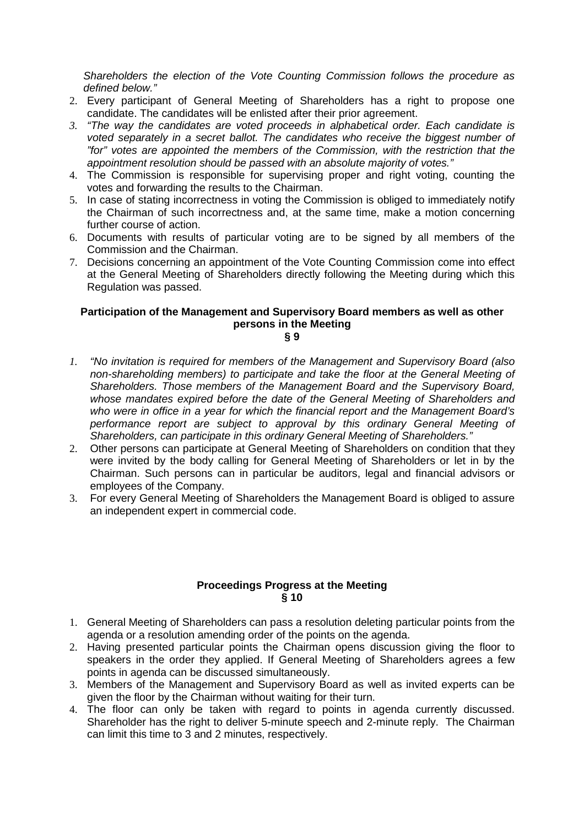Shareholders the election of the Vote Counting Commission follows the procedure as defined below."

- 2. Every participant of General Meeting of Shareholders has a right to propose one candidate. The candidates will be enlisted after their prior agreement.
- *3.* "The way the candidates are voted proceeds in alphabetical order. Each candidate is voted separately in a secret ballot. The candidates who receive the biggest number of "for" votes are appointed the members of the Commission, with the restriction that the appointment resolution should be passed with an absolute majority of votes."
- 4. The Commission is responsible for supervising proper and right voting, counting the votes and forwarding the results to the Chairman.
- 5. In case of stating incorrectness in voting the Commission is obliged to immediately notify the Chairman of such incorrectness and, at the same time, make a motion concerning further course of action.
- 6. Documents with results of particular voting are to be signed by all members of the Commission and the Chairman.
- 7. Decisions concerning an appointment of the Vote Counting Commission come into effect at the General Meeting of Shareholders directly following the Meeting during which this Regulation was passed.

# **Participation of the Management and Supervisory Board members as well as other persons in the Meeting**

**§ 9** 

- *1.* "No invitation is required for members of the Management and Supervisory Board (also non-shareholding members) to participate and take the floor at the General Meeting of Shareholders. Those members of the Management Board and the Supervisory Board, whose mandates expired before the date of the General Meeting of Shareholders and who were in office in a year for which the financial report and the Management Board's performance report are subject to approval by this ordinary General Meeting of Shareholders, can participate in this ordinary General Meeting of Shareholders."
- 2. Other persons can participate at General Meeting of Shareholders on condition that they were invited by the body calling for General Meeting of Shareholders or let in by the Chairman. Such persons can in particular be auditors, legal and financial advisors or employees of the Company.
- 3. For every General Meeting of Shareholders the Management Board is obliged to assure an independent expert in commercial code.

# **Proceedings Progress at the Meeting § 10**

- 1. General Meeting of Shareholders can pass a resolution deleting particular points from the agenda or a resolution amending order of the points on the agenda.
- 2. Having presented particular points the Chairman opens discussion giving the floor to speakers in the order they applied. If General Meeting of Shareholders agrees a few points in agenda can be discussed simultaneously.
- 3. Members of the Management and Supervisory Board as well as invited experts can be given the floor by the Chairman without waiting for their turn.
- 4. The floor can only be taken with regard to points in agenda currently discussed. Shareholder has the right to deliver 5-minute speech and 2-minute reply. The Chairman can limit this time to 3 and 2 minutes, respectively.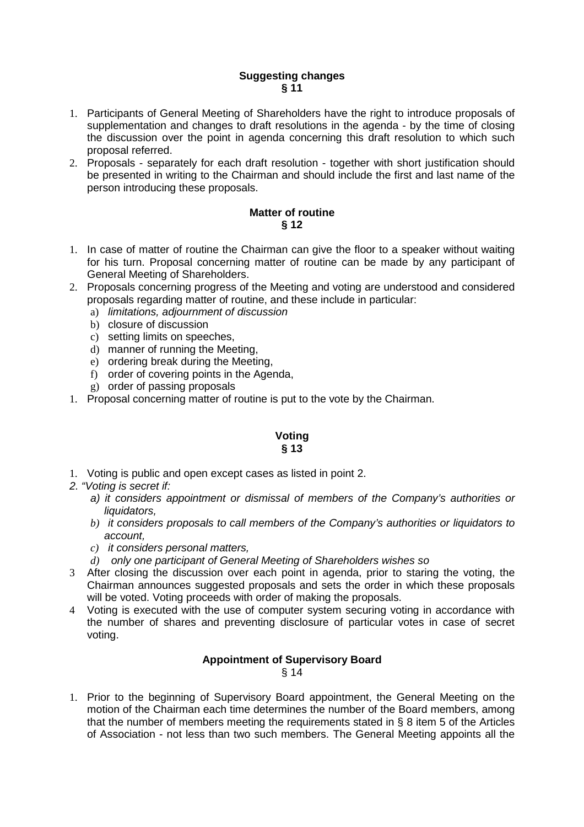# **Suggesting changes § 11**

- 1. Participants of General Meeting of Shareholders have the right to introduce proposals of supplementation and changes to draft resolutions in the agenda - by the time of closing the discussion over the point in agenda concerning this draft resolution to which such proposal referred.
- 2. Proposals separately for each draft resolution together with short justification should be presented in writing to the Chairman and should include the first and last name of the person introducing these proposals.

# **Matter of routine § 12**

- 1. In case of matter of routine the Chairman can give the floor to a speaker without waiting for his turn. Proposal concerning matter of routine can be made by any participant of General Meeting of Shareholders.
- 2. Proposals concerning progress of the Meeting and voting are understood and considered proposals regarding matter of routine, and these include in particular:
	- a) limitations, adjournment of discussion
	- b) closure of discussion
	- c) setting limits on speeches,
	- d) manner of running the Meeting,
	- e) ordering break during the Meeting,
	- f) order of covering points in the Agenda,
	- g) order of passing proposals
- 1. Proposal concerning matter of routine is put to the vote by the Chairman.

# **Voting § 13**

- 1. Voting is public and open except cases as listed in point 2.
- 2. "Voting is secret if:
	- a) it considers appointment or dismissal of members of the Company's authorities or liquidators.
	- *b)* it considers proposals to call members of the Company's authorities or liquidators to account,
	- *c)* it considers personal matters,
	- *d)* only one participant of General Meeting of Shareholders wishes so
- 3 After closing the discussion over each point in agenda, prior to staring the voting, the Chairman announces suggested proposals and sets the order in which these proposals will be voted. Voting proceeds with order of making the proposals.
- 4 Voting is executed with the use of computer system securing voting in accordance with the number of shares and preventing disclosure of particular votes in case of secret voting.

# **Appointment of Supervisory Board**

§ 14

1. Prior to the beginning of Supervisory Board appointment, the General Meeting on the motion of the Chairman each time determines the number of the Board members, among that the number of members meeting the requirements stated in § 8 item 5 of the Articles of Association - not less than two such members. The General Meeting appoints all the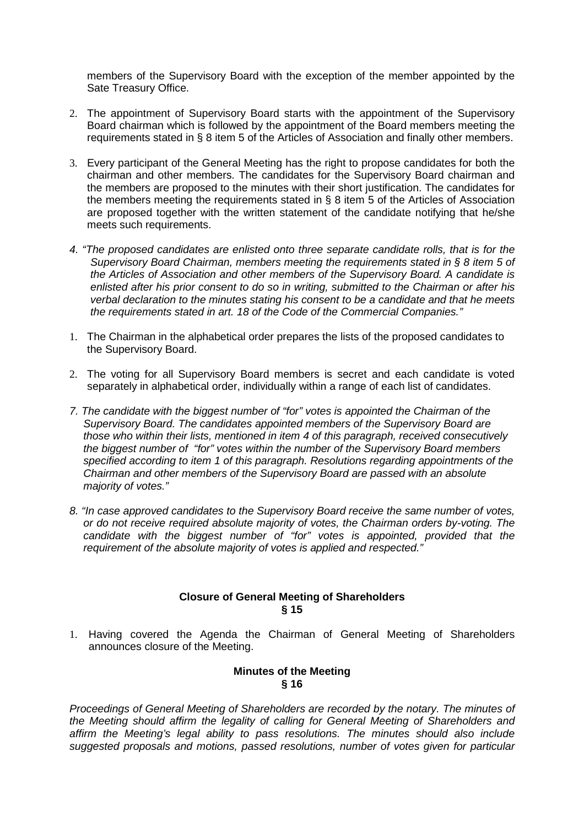members of the Supervisory Board with the exception of the member appointed by the Sate Treasury Office.

- 2. The appointment of Supervisory Board starts with the appointment of the Supervisory Board chairman which is followed by the appointment of the Board members meeting the requirements stated in § 8 item 5 of the Articles of Association and finally other members.
- 3. Every participant of the General Meeting has the right to propose candidates for both the chairman and other members. The candidates for the Supervisory Board chairman and the members are proposed to the minutes with their short justification. The candidates for the members meeting the requirements stated in § 8 item 5 of the Articles of Association are proposed together with the written statement of the candidate notifying that he/she meets such requirements.
- 4. "The proposed candidates are enlisted onto three separate candidate rolls, that is for the Supervisory Board Chairman, members meeting the requirements stated in § 8 item 5 of the Articles of Association and other members of the Supervisory Board. A candidate is enlisted after his prior consent to do so in writing, submitted to the Chairman or after his verbal declaration to the minutes stating his consent to be a candidate and that he meets the requirements stated in art. 18 of the Code of the Commercial Companies."
- 1. The Chairman in the alphabetical order prepares the lists of the proposed candidates to the Supervisory Board.
- 2. The voting for all Supervisory Board members is secret and each candidate is voted separately in alphabetical order, individually within a range of each list of candidates.
- 7. The candidate with the biggest number of "for" votes is appointed the Chairman of the Supervisory Board. The candidates appointed members of the Supervisory Board are those who within their lists, mentioned in item 4 of this paragraph, received consecutively the biggest number of "for" votes within the number of the Supervisory Board members specified according to item 1 of this paragraph. Resolutions regarding appointments of the Chairman and other members of the Supervisory Board are passed with an absolute majority of votes."
- 8. "In case approved candidates to the Supervisory Board receive the same number of votes, or do not receive required absolute majority of votes, the Chairman orders by-voting. The candidate with the biggest number of "for" votes is appointed, provided that the requirement of the absolute majority of votes is applied and respected."

## **Closure of General Meeting of Shareholders § 15**

1. Having covered the Agenda the Chairman of General Meeting of Shareholders announces closure of the Meeting.

## **Minutes of the Meeting § 16**

Proceedings of General Meeting of Shareholders are recorded by the notary. The minutes of the Meeting should affirm the legality of calling for General Meeting of Shareholders and affirm the Meeting's legal ability to pass resolutions. The minutes should also include suggested proposals and motions, passed resolutions, number of votes given for particular